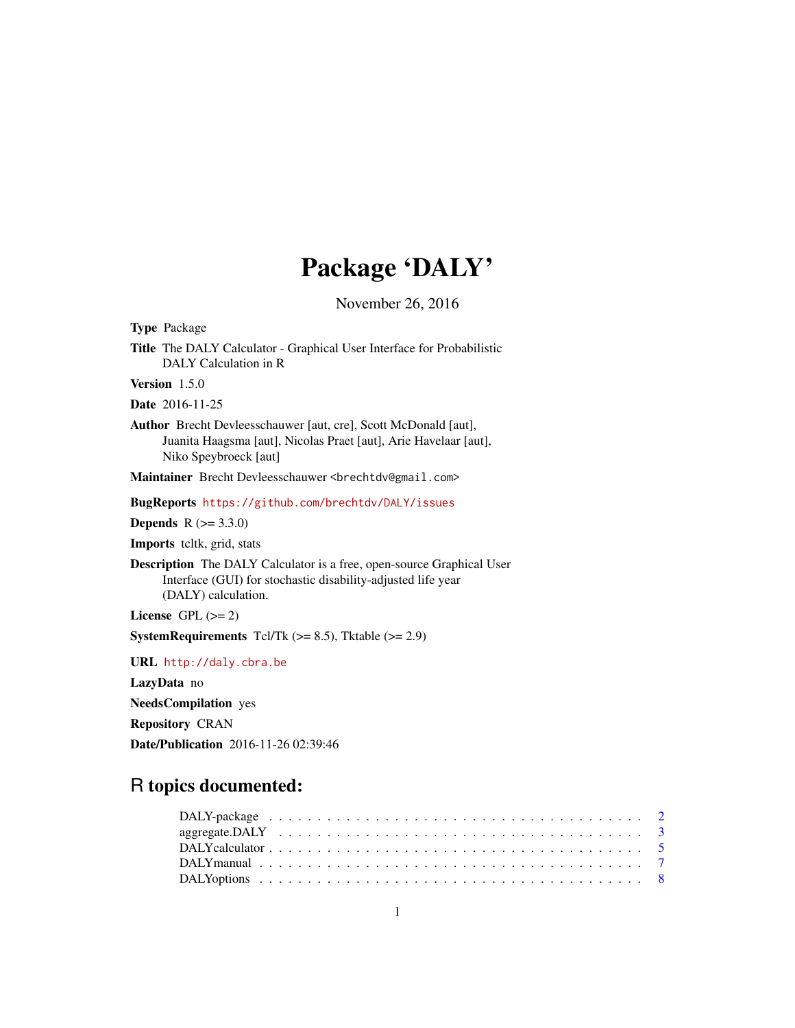# Package 'DALY'

November 26, 2016

<span id="page-0-0"></span>Type Package Title The DALY Calculator - Graphical User Interface for Probabilistic DALY Calculation in R Version 1.5.0 Date 2016-11-25 Author Brecht Devleesschauwer [aut, cre], Scott McDonald [aut], Juanita Haagsma [aut], Nicolas Praet [aut], Arie Havelaar [aut], Niko Speybroeck [aut] Maintainer Brecht Devleesschauwer <br />brechtdv@gmail.com> BugReports <https://github.com/brechtdv/DALY/issues> **Depends**  $R$  ( $>= 3.3.0$ ) Imports tcltk, grid, stats Description The DALY Calculator is a free, open-source Graphical User Interface (GUI) for stochastic disability-adjusted life year (DALY) calculation. License GPL  $(>= 2)$ **SystemRequirements** Tcl/Tk  $(>= 8.5)$ , Tktable  $(>= 2.9)$ URL <http://daly.cbra.be> LazyData no NeedsCompilation yes Repository CRAN Date/Publication 2016-11-26 02:39:46

# R topics documented: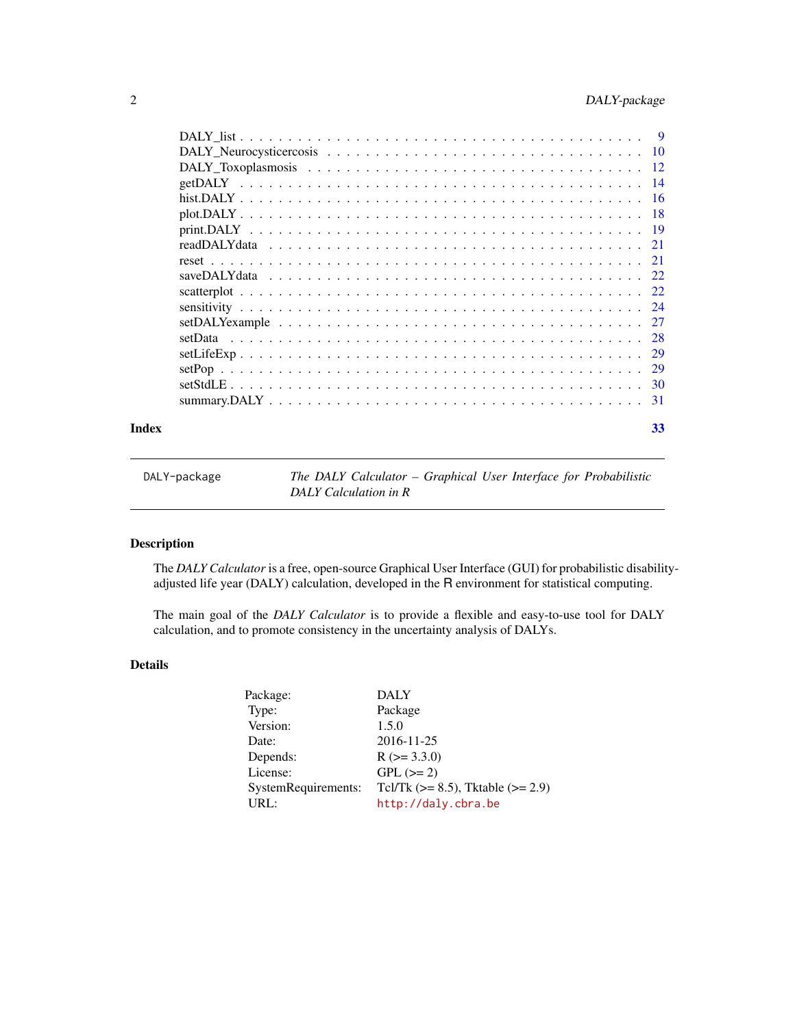<span id="page-1-0"></span>

|       | getDALY |    |
|-------|---------|----|
|       |         |    |
|       |         |    |
|       |         |    |
|       |         |    |
|       |         |    |
|       |         |    |
|       |         |    |
|       |         |    |
|       |         |    |
|       |         |    |
|       |         |    |
|       |         |    |
|       |         |    |
|       |         |    |
| Index |         | 33 |

| DALY-package | The DALY Calculator – Graphical User Interface for Probabilistic |
|--------------|------------------------------------------------------------------|
|              | DALY Calculation in R                                            |

# Description

The *DALY Calculator* is a free, open-source Graphical User Interface (GUI) for probabilistic disabilityadjusted life year (DALY) calculation, developed in the R environment for statistical computing.

The main goal of the *DALY Calculator* is to provide a flexible and easy-to-use tool for DALY calculation, and to promote consistency in the uncertainty analysis of DALYs.

# Details

| Package:            | <b>DALY</b>                               |
|---------------------|-------------------------------------------|
| Type:               | Package                                   |
| Version:            | 1.5.0                                     |
| Date:               | 2016-11-25                                |
| Depends:            | $R$ ( $> = 3.3.0$ )                       |
| License:            | $GPL (=2)$                                |
| SystemRequirements: | Tcl/Tk ( $>= 8.5$ ), Tktable ( $>= 2.9$ ) |
| URL:                | http://daly.cbra.be                       |
|                     |                                           |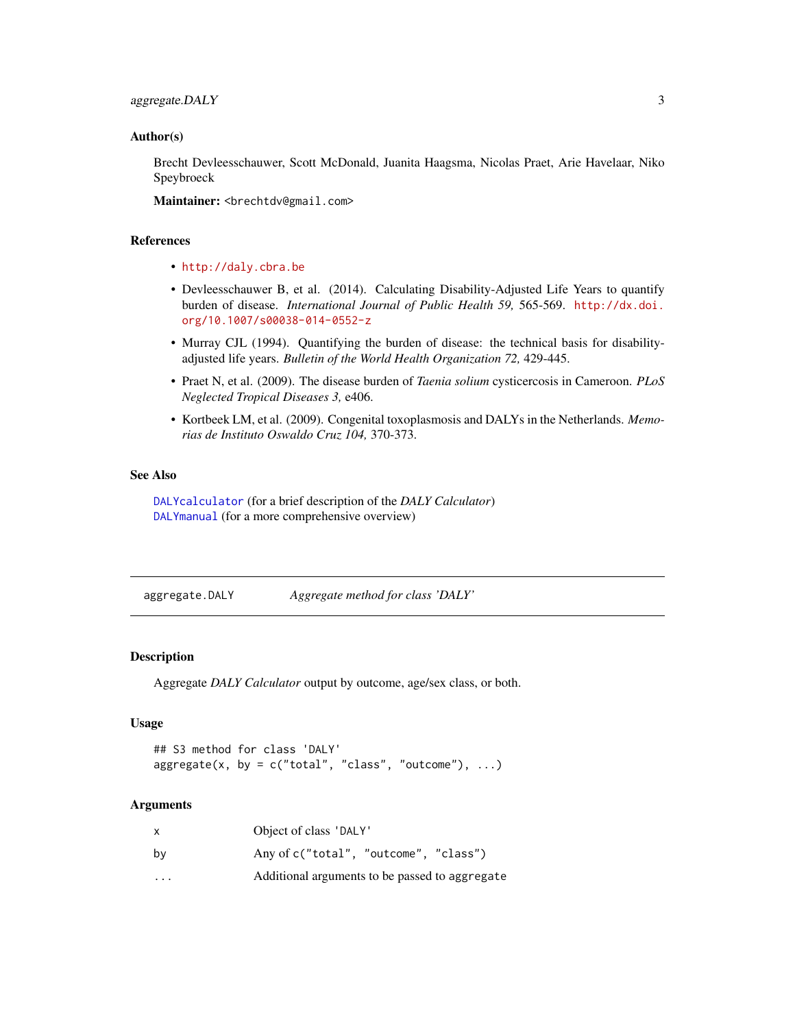#### <span id="page-2-0"></span>Author(s)

Brecht Devleesschauwer, Scott McDonald, Juanita Haagsma, Nicolas Praet, Arie Havelaar, Niko Speybroeck

Maintainer: <brechtdv@gmail.com>

#### References

- <http://daly.cbra.be>
- Devleesschauwer B, et al. (2014). Calculating Disability-Adjusted Life Years to quantify burden of disease. *International Journal of Public Health 59,* 565-569. [http://dx.doi.](http://dx.doi.org/10.1007/s00038-014-0552-z) [org/10.1007/s00038-014-0552-z](http://dx.doi.org/10.1007/s00038-014-0552-z)
- Murray CJL (1994). Quantifying the burden of disease: the technical basis for disabilityadjusted life years. *Bulletin of the World Health Organization 72,* 429-445.
- Praet N, et al. (2009). The disease burden of *Taenia solium* cysticercosis in Cameroon. *PLoS Neglected Tropical Diseases 3,* e406.
- Kortbeek LM, et al. (2009). Congenital toxoplasmosis and DALYs in the Netherlands. *Memorias de Instituto Oswaldo Cruz 104,* 370-373.

# See Also

[DALYcalculator](#page-4-1) (for a brief description of the *DALY Calculator*) [DALYmanual](#page-6-1) (for a more comprehensive overview)

<span id="page-2-1"></span>aggregate.DALY *Aggregate method for class 'DALY'*

# **Description**

Aggregate *DALY Calculator* output by outcome, age/sex class, or both.

#### Usage

```
## S3 method for class 'DALY'
aggregate(x, by = c("total", "class", "outcome"), ...)
```
## Arguments

| X       | Object of class 'DALY'                         |
|---------|------------------------------------------------|
| by      | Any of c("total", "outcome", "class")          |
| $\cdot$ | Additional arguments to be passed to aggregate |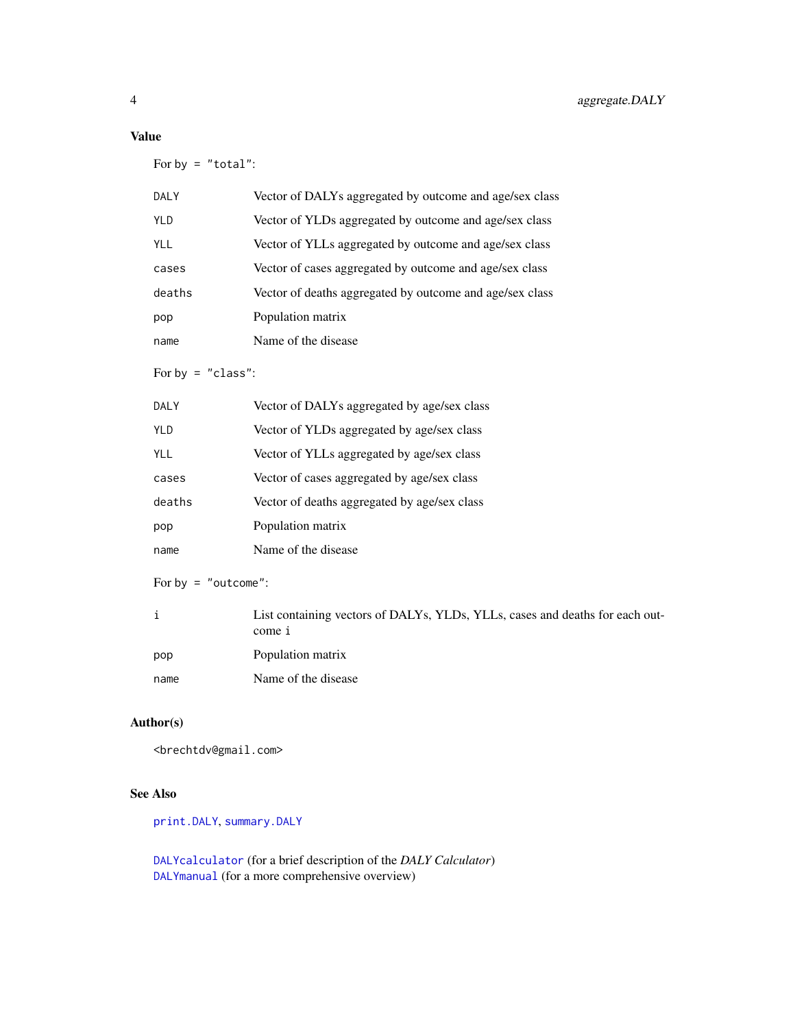# <span id="page-3-0"></span>Value

For by  $=$  "total":

| <b>DALY</b> | Vector of DALYs aggregated by outcome and age/sex class  |
|-------------|----------------------------------------------------------|
| <b>YLD</b>  | Vector of YLDs aggregated by outcome and age/sex class   |
| YLL         | Vector of YLLs aggregated by outcome and age/sex class   |
| cases       | Vector of cases aggregated by outcome and age/sex class  |
| deaths      | Vector of deaths aggregated by outcome and age/sex class |
| pop         | Population matrix                                        |
| name        | Name of the disease                                      |

For by  $=$  "class":

| <b>DALY</b> | Vector of DALYs aggregated by age/sex class  |
|-------------|----------------------------------------------|
| <b>YLD</b>  | Vector of YLDs aggregated by age/sex class   |
| <b>YLL</b>  | Vector of YLLs aggregated by age/sex class   |
| cases       | Vector of cases aggregated by age/sex class  |
| deaths      | Vector of deaths aggregated by age/sex class |
| pop         | Population matrix                            |
| name        | Name of the disease                          |

For by = "outcome":

|      | List containing vectors of DALYs, YLDs, YLLs, cases and deaths for each out-<br>come i |
|------|----------------------------------------------------------------------------------------|
| pop  | Population matrix                                                                      |
| name | Name of the disease                                                                    |

# Author(s)

<brechtdv@gmail.com>

# See Also

[print.DALY](#page-18-1), [summary.DALY](#page-30-1)

[DALYcalculator](#page-4-1) (for a brief description of the *DALY Calculator*) [DALYmanual](#page-6-1) (for a more comprehensive overview)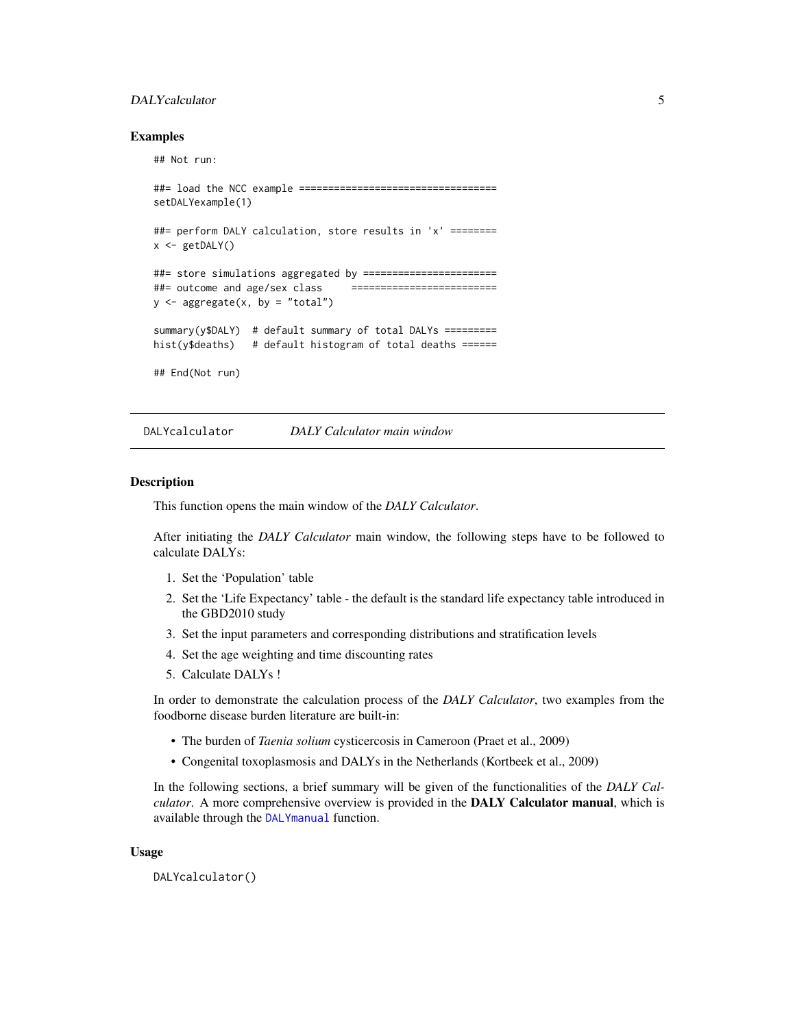# <span id="page-4-0"></span>DALYcalculator 5

#### Examples

## Not run:

```
##= load the NCC example ===================================
setDALYexample(1)
##= perform DALY calculation, store results in 'x' ========
x \leftarrow getDALY()##= store simulations aggregated by =======================
##= outcome and age/sex class ==========================
y \leftarrow aggregate(x, by = "total")
summary(y$DALY) # default summary of total DALYs =========
hist(y$deaths) # default histogram of total deaths ======
## End(Not run)
```
<span id="page-4-1"></span>DALYcalculator *DALY Calculator main window*

#### Description

This function opens the main window of the *DALY Calculator*.

After initiating the *DALY Calculator* main window, the following steps have to be followed to calculate DALYs:

- 1. Set the 'Population' table
- 2. Set the 'Life Expectancy' table the default is the standard life expectancy table introduced in the GBD2010 study
- 3. Set the input parameters and corresponding distributions and stratification levels
- 4. Set the age weighting and time discounting rates
- 5. Calculate DALYs !

In order to demonstrate the calculation process of the *DALY Calculator*, two examples from the foodborne disease burden literature are built-in:

- The burden of *Taenia solium* cysticercosis in Cameroon (Praet et al., 2009)
- Congenital toxoplasmosis and DALYs in the Netherlands (Kortbeek et al., 2009)

In the following sections, a brief summary will be given of the functionalities of the *DALY Calculator*. A more comprehensive overview is provided in the DALY Calculator manual, which is available through the [DALYmanual](#page-6-1) function.

#### Usage

DALYcalculator()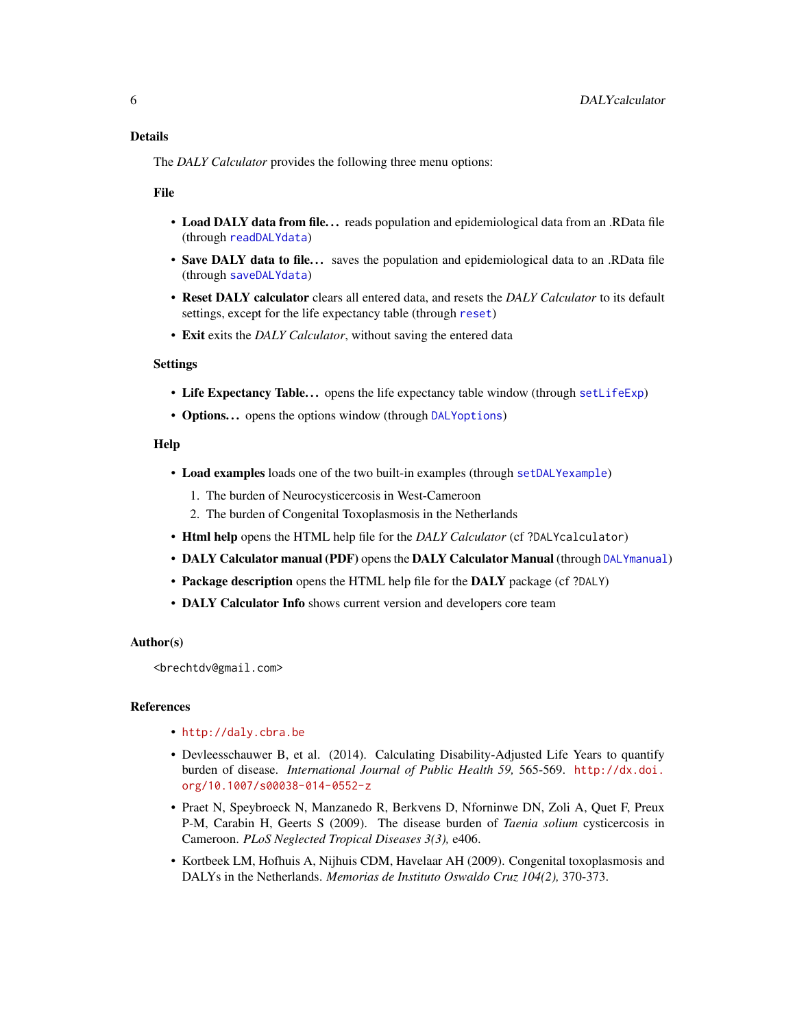<span id="page-5-0"></span>The *DALY Calculator* provides the following three menu options:

File

- Load DALY data from file... reads population and epidemiological data from an .RData file (through [readDALYdata](#page-20-1))
- Save DALY data to file... saves the population and epidemiological data to an .RData file (through [saveDALYdata](#page-21-1))
- Reset DALY calculator clears all entered data, and resets the *DALY Calculator* to its default settings, except for the life expectancy table (through [reset](#page-20-2))
- Exit exits the *DALY Calculator*, without saving the entered data

# Settings

- Life Expectancy Table... opens the life expectancy table window (through [setLifeExp](#page-28-1))
- Options... opens the options window (through [DALYoptions](#page-7-1))

#### Help

- Load examples loads one of the two built-in examples (through [setDALYexample](#page-26-1))
	- 1. The burden of Neurocysticercosis in West-Cameroon
	- 2. The burden of Congenital Toxoplasmosis in the Netherlands
- Html help opens the HTML help file for the *DALY Calculator* (cf ?DALYcalculator)
- DALY Calculator manual (PDF) opens the DALY Calculator Manual (through [DALYmanual](#page-6-1))
- Package description opens the HTML help file for the DALY package (cf ?DALY)
- DALY Calculator Info shows current version and developers core team

### Author(s)

<brechtdv@gmail.com>

# References

- <http://daly.cbra.be>
- Devleesschauwer B, et al. (2014). Calculating Disability-Adjusted Life Years to quantify burden of disease. *International Journal of Public Health 59,* 565-569. [http://dx.doi.](http://dx.doi.org/10.1007/s00038-014-0552-z) [org/10.1007/s00038-014-0552-z](http://dx.doi.org/10.1007/s00038-014-0552-z)
- Praet N, Speybroeck N, Manzanedo R, Berkvens D, Nforninwe DN, Zoli A, Quet F, Preux P-M, Carabin H, Geerts S (2009). The disease burden of *Taenia solium* cysticercosis in Cameroon. *PLoS Neglected Tropical Diseases 3(3),* e406.
- Kortbeek LM, Hofhuis A, Nijhuis CDM, Havelaar AH (2009). Congenital toxoplasmosis and DALYs in the Netherlands. *Memorias de Instituto Oswaldo Cruz 104(2),* 370-373.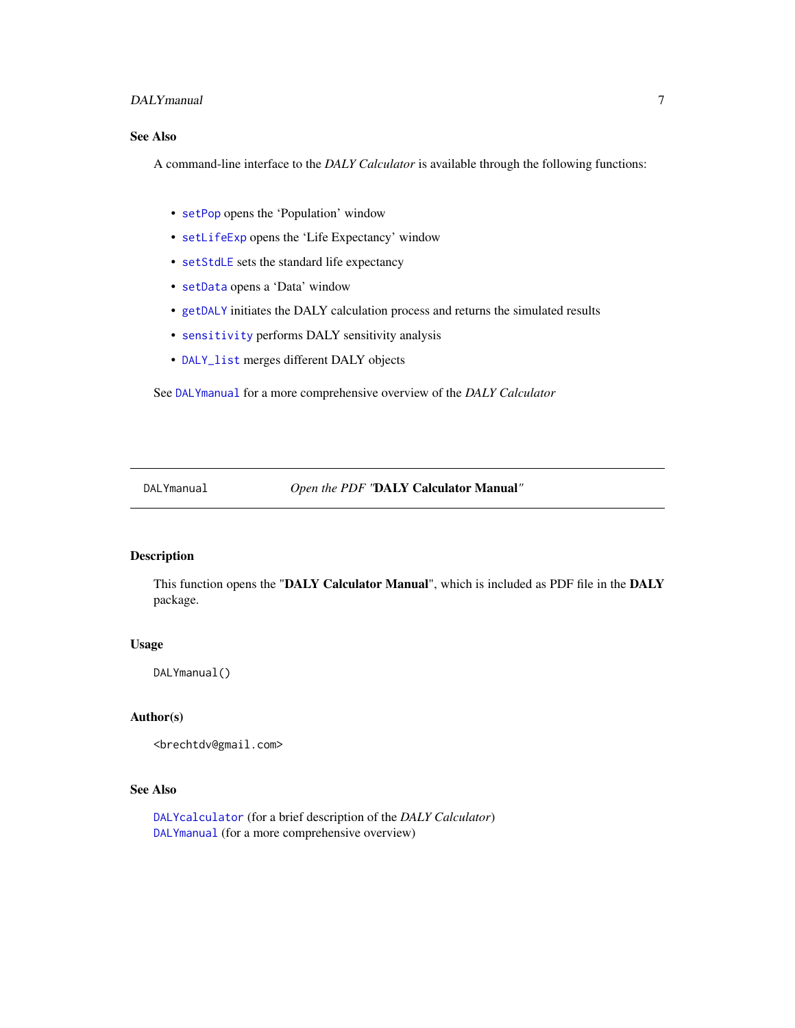# <span id="page-6-0"></span>DALYmanual 7

# See Also

A command-line interface to the *DALY Calculator* is available through the following functions:

- [setPop](#page-28-2) opens the 'Population' window
- [setLifeExp](#page-28-1) opens the 'Life Expectancy' window
- [setStdLE](#page-29-1) sets the standard life expectancy
- [setData](#page-27-1) opens a 'Data' window
- [getDALY](#page-13-1) initiates the DALY calculation process and returns the simulated results
- [sensitivity](#page-23-1) performs DALY sensitivity analysis
- [DALY\\_list](#page-8-1) merges different DALY objects

See [DALYmanual](#page-6-1) for a more comprehensive overview of the *DALY Calculator*

<span id="page-6-1"></span>DALYmanual *Open the PDF "*DALY Calculator Manual*"*

# Description

This function opens the "DALY Calculator Manual", which is included as PDF file in the DALY package.

#### Usage

DALYmanual()

# Author(s)

<brechtdv@gmail.com>

# See Also

[DALYcalculator](#page-4-1) (for a brief description of the *DALY Calculator*) [DALYmanual](#page-6-1) (for a more comprehensive overview)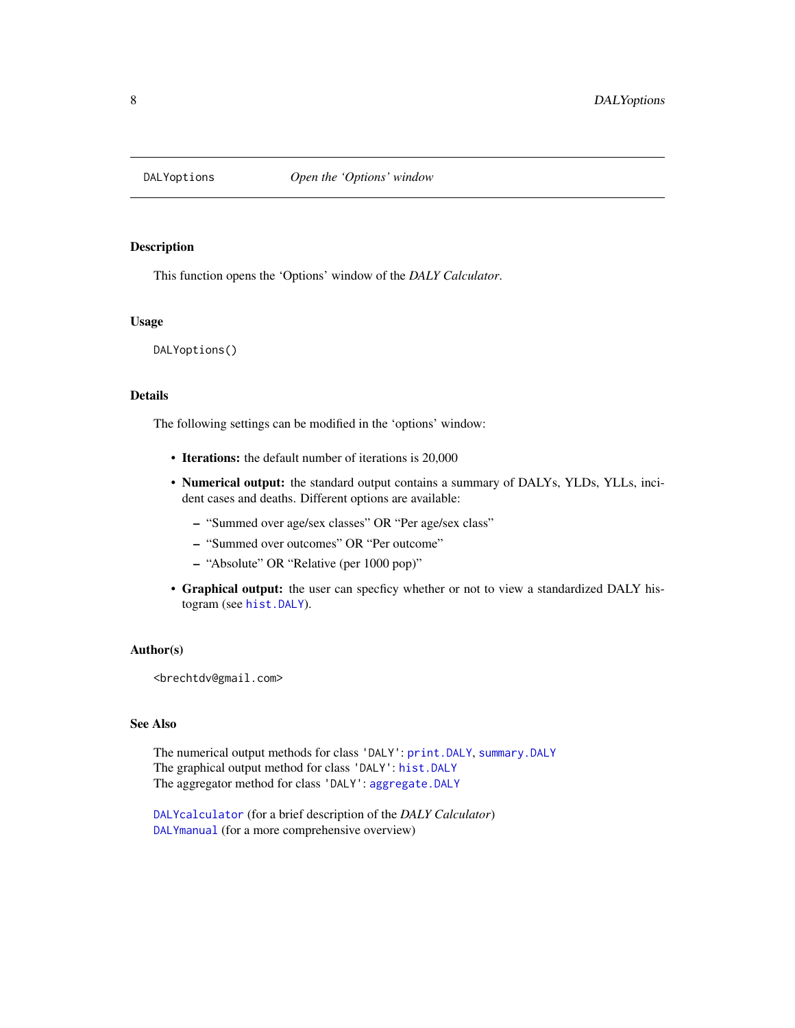<span id="page-7-1"></span><span id="page-7-0"></span>

#### Description

This function opens the 'Options' window of the *DALY Calculator*.

#### Usage

DALYoptions()

# Details

The following settings can be modified in the 'options' window:

- Iterations: the default number of iterations is 20,000
- Numerical output: the standard output contains a summary of DALYs, YLDs, YLLs, incident cases and deaths. Different options are available:
	- "Summed over age/sex classes" OR "Per age/sex class"
	- "Summed over outcomes" OR "Per outcome"
	- "Absolute" OR "Relative (per 1000 pop)"
- Graphical output: the user can specficy whether or not to view a standardized DALY histogram (see [hist.DALY](#page-15-1)).

#### Author(s)

<brechtdv@gmail.com>

# See Also

The numerical output methods for class 'DALY': [print.DALY](#page-18-1), [summary.DALY](#page-30-1) The graphical output method for class 'DALY': [hist.DALY](#page-15-1) The aggregator method for class 'DALY': [aggregate.DALY](#page-2-1)

[DALYcalculator](#page-4-1) (for a brief description of the *DALY Calculator*) [DALYmanual](#page-6-1) (for a more comprehensive overview)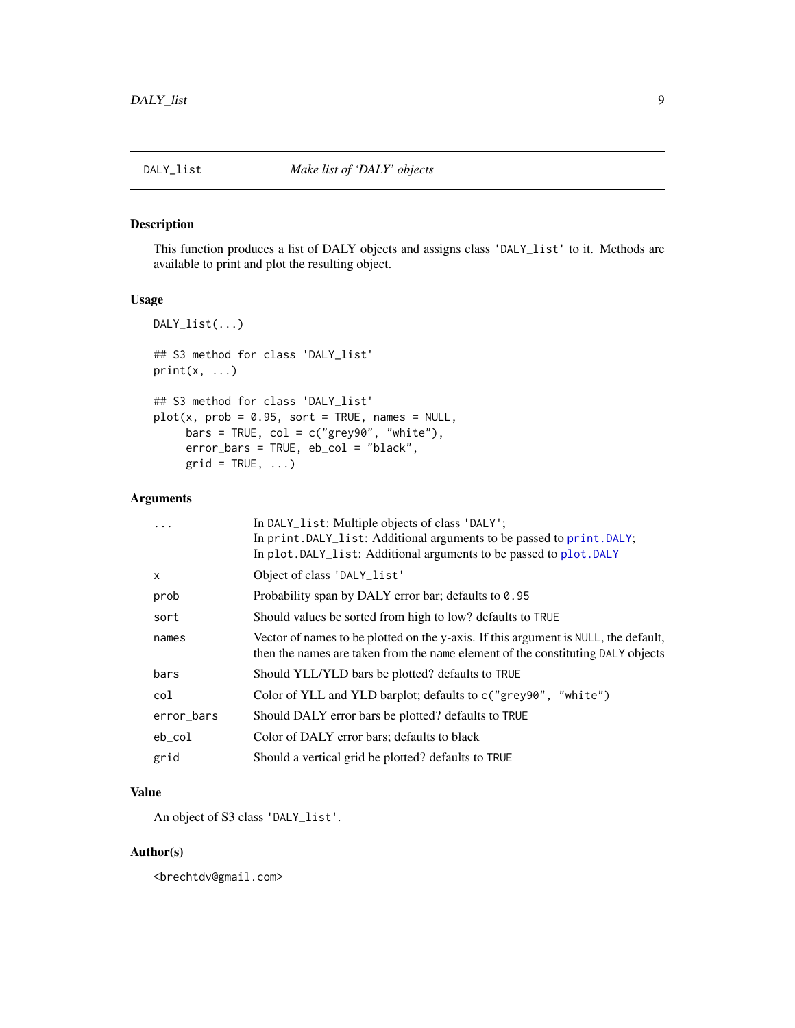# <span id="page-8-1"></span><span id="page-8-0"></span>Description

This function produces a list of DALY objects and assigns class 'DALY\_list' to it. Methods are available to print and plot the resulting object.

# Usage

```
DALY_list(...)
## S3 method for class 'DALY_list'
print(x, \ldots)## S3 method for class 'DALY_list'
plot(x, prob = 0.95, sort = TRUE, names = NULL,bars = TRUE, col = c("grey90", "white"),error_bars = TRUE, eb_col = "black",
     grid = TRUE, ...)
```
#### Arguments

| $\ddots$ . | In DALY_list: Multiple objects of class 'DALY';                                                                                                                        |
|------------|------------------------------------------------------------------------------------------------------------------------------------------------------------------------|
|            | In print. DALY_list: Additional arguments to be passed to print. DALY;                                                                                                 |
|            | In plot. DALY_list: Additional arguments to be passed to plot. DALY                                                                                                    |
| X          | Object of class 'DALY_list'                                                                                                                                            |
| prob       | Probability span by DALY error bar; defaults to 0.95                                                                                                                   |
| sort       | Should values be sorted from high to low? defaults to TRUE                                                                                                             |
| names      | Vector of names to be plotted on the y-axis. If this argument is NULL, the default,<br>then the names are taken from the name element of the constituting DALY objects |
| bars       | Should YLL/YLD bars be plotted? defaults to TRUE                                                                                                                       |
| col        | Color of YLL and YLD barplot; defaults to c("grey90", "white")                                                                                                         |
| error_bars | Should DALY error bars be plotted? defaults to TRUE                                                                                                                    |
| eb_col     | Color of DALY error bars; defaults to black                                                                                                                            |
| grid       | Should a vertical grid be plotted? defaults to TRUE                                                                                                                    |

# Value

An object of S3 class 'DALY\_list'.

#### Author(s)

<brechtdv@gmail.com>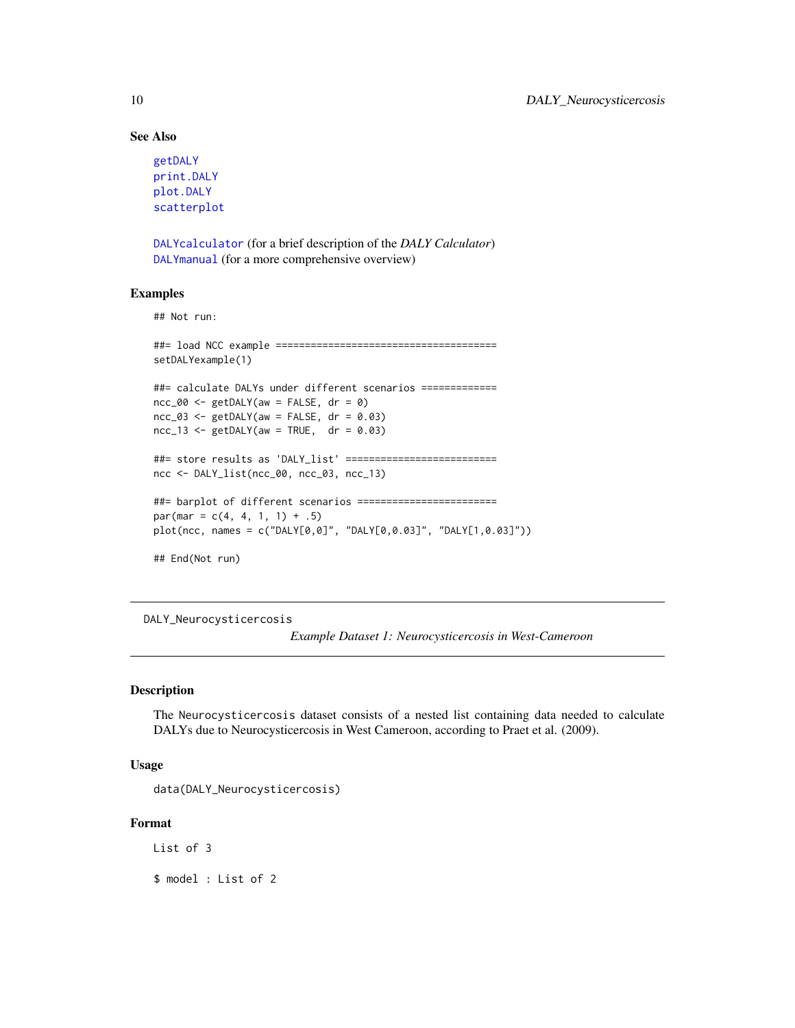# See Also

```
getDALY
print.DALY
plot.DALY
scatterplot
```
[DALYcalculator](#page-4-1) (for a brief description of the *DALY Calculator*) [DALYmanual](#page-6-1) (for a more comprehensive overview)

#### Examples

## Not run:

```
##= load NCC example ======================================
setDALYexample(1)
##= calculate DALYs under different scenarios =============
ncc_000 <- getDALY(aw = FALSE, dr = 0)
ncc_03 \leq getDALY(aw = FALSE, dr = 0.03)ncc_13 \leq - getDALY(aw = TRUE, dr = 0.03)
##= store results as 'DALY_list' ==========================
ncc <- DALY_list(ncc_00, ncc_03, ncc_13)
##= barplot of different scenarios ========================
par(max = c(4, 4, 1, 1) + .5)plot(ncc, names = c("DALY[0,0]", "DALY[0,0.03]", "DALY[1,0.03]"))
## End(Not run)
```
<span id="page-9-1"></span>DALY\_Neurocysticercosis

*Example Dataset 1: Neurocysticercosis in West-Cameroon*

#### Description

The Neurocysticercosis dataset consists of a nested list containing data needed to calculate DALYs due to Neurocysticercosis in West Cameroon, according to Praet et al. (2009).

#### Usage

```
data(DALY_Neurocysticercosis)
```
#### Format

List of 3

\$ model : List of 2

<span id="page-9-0"></span>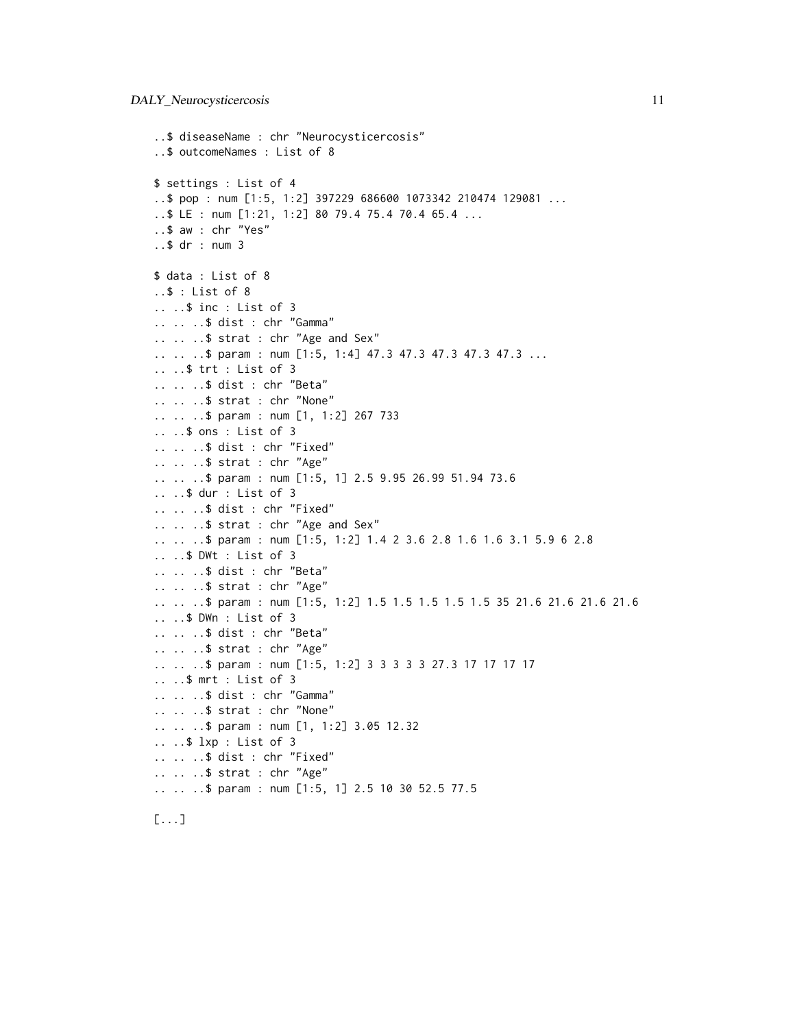```
..$ diseaseName : chr "Neurocysticercosis"
..$ outcomeNames : List of 8
$ settings : List of 4
..$ pop : num [1:5, 1:2] 397229 686600 1073342 210474 129081 ...
..$ LE : num [1:21, 1:2] 80 79.4 75.4 70.4 65.4 ...
..$ aw : chr "Yes"
..$ dr : num 3
$ data : List of 8
..$ : List of 8
.. ..$ inc : List of 3
.. .. ..$ dist : chr "Gamma"
.. .. ..$ strat : chr "Age and Sex"
.. .. ..$ param : num [1:5, 1:4] 47.3 47.3 47.3 47.3 47.3 ...
.. ..$ trt : List of 3
.. .. ..$ dist : chr "Beta"
.. .. ..$ strat : chr "None"
.. .. ..$ param : num [1, 1:2] 267 733
.. ..$ ons : List of 3
.. .. ..$ dist : chr "Fixed"
.. .. ..$ strat : chr "Age"
.. .. ..$ param : num [1:5, 1] 2.5 9.95 26.99 51.94 73.6
.. ..$ dur : List of 3
.. .. ..$ dist : chr "Fixed"
.. .. ..$ strat : chr "Age and Sex"
.. .. ..$ param : num [1:5, 1:2] 1.4 2 3.6 2.8 1.6 1.6 3.1 5.9 6 2.8
.. ..$ DWt : List of 3
.. .. ..$ dist : chr "Beta"
.. .. ..$ strat : chr "Age"
.. .. ..$ param : num [1:5, 1:2] 1.5 1.5 1.5 1.5 1.5 35 21.6 21.6 21.6 21.6
.. ..$ DWn : List of 3
.. .. ..$ dist : chr "Beta"
.. .. ..$ strat : chr "Age"
.. .. ..$ param : num [1:5, 1:2] 3 3 3 3 3 27.3 17 17 17 17
.. ..$ mrt : List of 3
.. .. ..$ dist : chr "Gamma"
.. .. ..$ strat : chr "None"
.. .. ..$ param : num [1, 1:2] 3.05 12.32
.. ..$ lxp : List of 3
.. .. ..$ dist : chr "Fixed"
.. .. ..$ strat : chr "Age"
.. .. ..$ param : num [1:5, 1] 2.5 10 30 52.5 77.5
```
[...]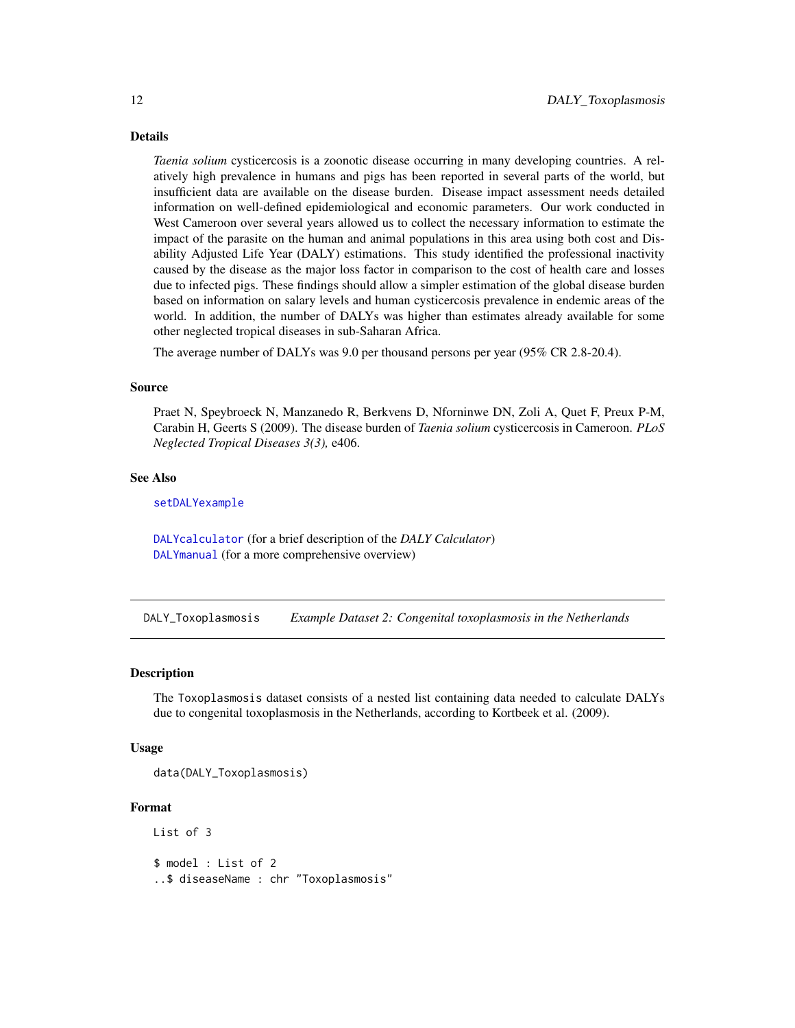# <span id="page-11-0"></span>Details

*Taenia solium* cysticercosis is a zoonotic disease occurring in many developing countries. A relatively high prevalence in humans and pigs has been reported in several parts of the world, but insufficient data are available on the disease burden. Disease impact assessment needs detailed information on well-defined epidemiological and economic parameters. Our work conducted in West Cameroon over several years allowed us to collect the necessary information to estimate the impact of the parasite on the human and animal populations in this area using both cost and Disability Adjusted Life Year (DALY) estimations. This study identified the professional inactivity caused by the disease as the major loss factor in comparison to the cost of health care and losses due to infected pigs. These findings should allow a simpler estimation of the global disease burden based on information on salary levels and human cysticercosis prevalence in endemic areas of the world. In addition, the number of DALYs was higher than estimates already available for some other neglected tropical diseases in sub-Saharan Africa.

The average number of DALYs was 9.0 per thousand persons per year (95% CR 2.8-20.4).

#### Source

Praet N, Speybroeck N, Manzanedo R, Berkvens D, Nforninwe DN, Zoli A, Quet F, Preux P-M, Carabin H, Geerts S (2009). The disease burden of *Taenia solium* cysticercosis in Cameroon. *PLoS Neglected Tropical Diseases 3(3),* e406.

# See Also

[setDALYexample](#page-26-1)

[DALYcalculator](#page-4-1) (for a brief description of the *DALY Calculator*) [DALYmanual](#page-6-1) (for a more comprehensive overview)

<span id="page-11-1"></span>DALY\_Toxoplasmosis *Example Dataset 2: Congenital toxoplasmosis in the Netherlands*

#### **Description**

The Toxoplasmosis dataset consists of a nested list containing data needed to calculate DALYs due to congenital toxoplasmosis in the Netherlands, according to Kortbeek et al. (2009).

#### Usage

data(DALY\_Toxoplasmosis)

#### Format

List of 3 \$ model : List of 2 ..\$ diseaseName : chr "Toxoplasmosis"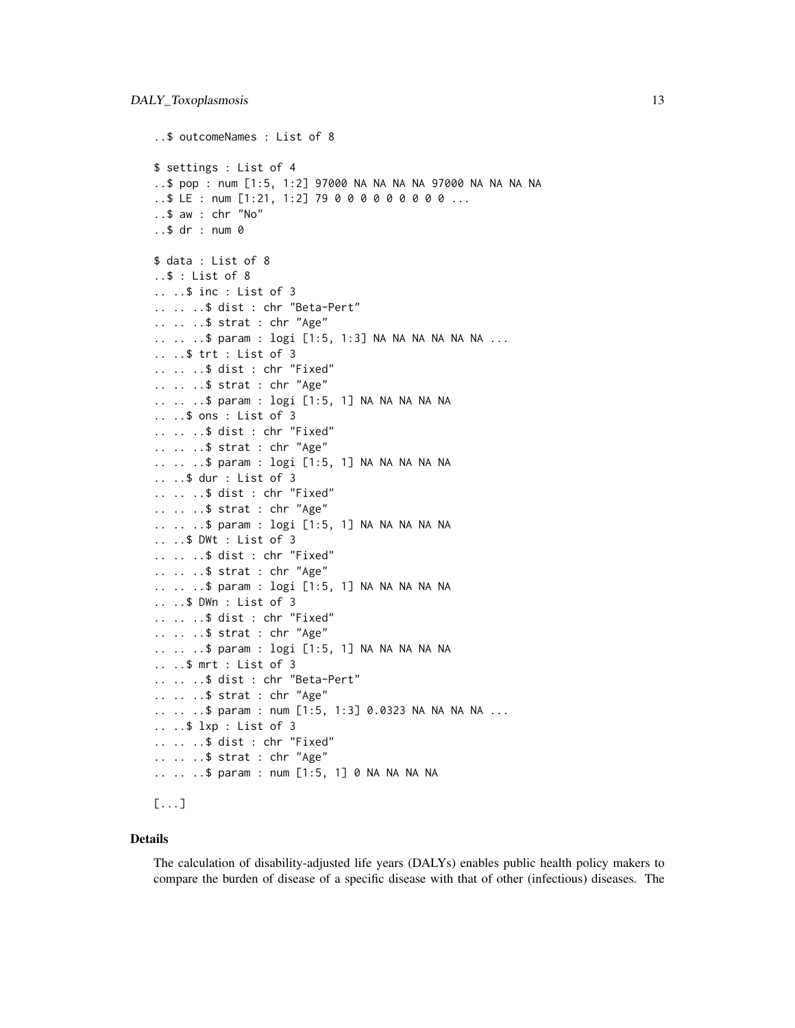```
..$ outcomeNames : List of 8
$ settings : List of 4
..$ pop : num [1:5, 1:2] 97000 NA NA NA NA 97000 NA NA NA NA
..$ LE : num [1:21, 1:2] 79 0 0 0 0 0 0 0 0 0 ...
..$ aw : chr "No"
..$ dr : num 0
$ data : List of 8
..$ : List of 8
.. ..$ inc : List of 3
.. .. ..$ dist : chr "Beta-Pert"
.. .. ..$ strat : chr "Age"
.. .. ..$ param : logi [1:5, 1:3] NA NA NA NA NA NA ...
.. ..$ trt : List of 3
.. .. ..$ dist : chr "Fixed"
.. .. ..$ strat : chr "Age"
.. .. ..$ param : logi [1:5, 1] NA NA NA NA NA
.. ..$ ons : List of 3
.. .. ..$ dist : chr "Fixed"
.. .. ..$ strat : chr "Age"
.. .. ..$ param : logi [1:5, 1] NA NA NA NA NA
.. ..$ dur : List of 3
.. .. ..$ dist : chr "Fixed"
.. .. ..$ strat : chr "Age"
.. .. ..$ param : logi [1:5, 1] NA NA NA NA NA
.. ..$ DWt : List of 3
.. .. ..$ dist : chr "Fixed"
.. .. ..$ strat : chr "Age"
.. .. ..$ param : logi [1:5, 1] NA NA NA NA NA
.. ..$ DWn : List of 3
.. .. ..$ dist : chr "Fixed"
.. .. ..$ strat : chr "Age"
.. .. ..$ param : logi [1:5, 1] NA NA NA NA NA
.. ..$ mrt : List of 3
.. .. ..$ dist : chr "Beta-Pert"
.. .. ..$ strat : chr "Age"
.. .. ..$ param : num [1:5, 1:3] 0.0323 NA NA NA NA ...
.. ..$ lxp : List of 3
.. .. ..$ dist : chr "Fixed"
.. .. ..$ strat : chr "Age"
.. .. ..$ param : num [1:5, 1] 0 NA NA NA NA
[...]
```
#### Details

The calculation of disability-adjusted life years (DALYs) enables public health policy makers to compare the burden of disease of a specific disease with that of other (infectious) diseases. The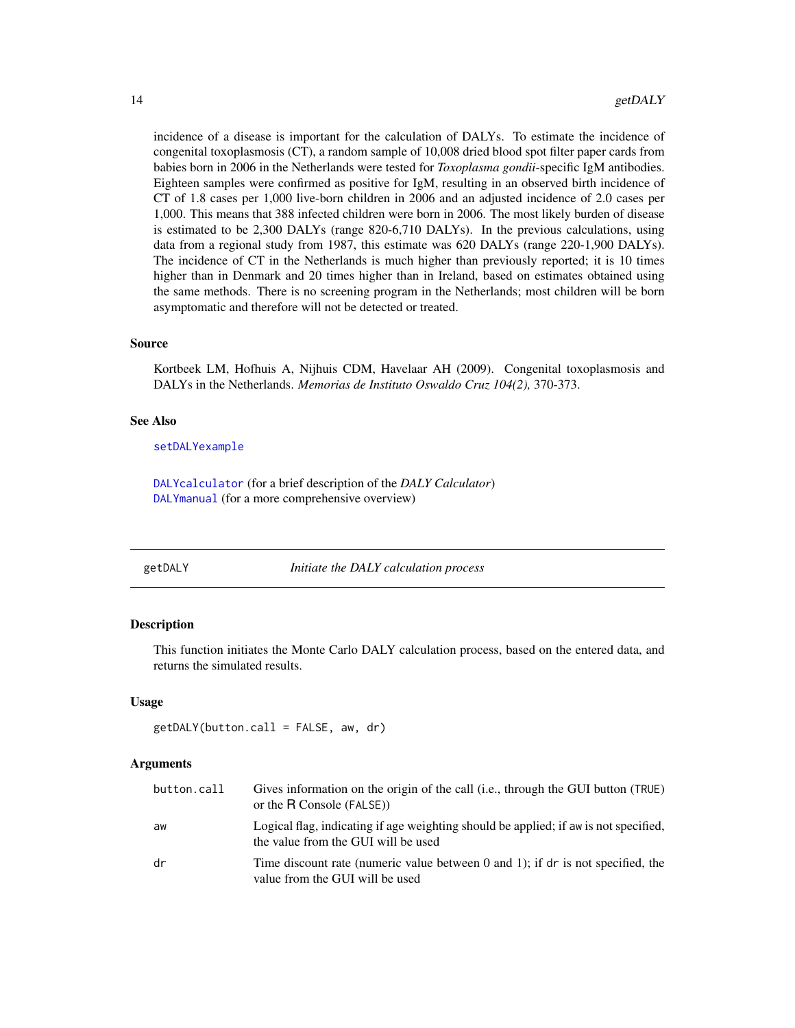<span id="page-13-0"></span>incidence of a disease is important for the calculation of DALYs. To estimate the incidence of congenital toxoplasmosis (CT), a random sample of 10,008 dried blood spot filter paper cards from babies born in 2006 in the Netherlands were tested for *Toxoplasma gondii*-specific IgM antibodies. Eighteen samples were confirmed as positive for IgM, resulting in an observed birth incidence of CT of 1.8 cases per 1,000 live-born children in 2006 and an adjusted incidence of 2.0 cases per 1,000. This means that 388 infected children were born in 2006. The most likely burden of disease is estimated to be 2,300 DALYs (range 820-6,710 DALYs). In the previous calculations, using data from a regional study from 1987, this estimate was 620 DALYs (range 220-1,900 DALYs). The incidence of CT in the Netherlands is much higher than previously reported; it is 10 times higher than in Denmark and 20 times higher than in Ireland, based on estimates obtained using the same methods. There is no screening program in the Netherlands; most children will be born asymptomatic and therefore will not be detected or treated.

#### Source

Kortbeek LM, Hofhuis A, Nijhuis CDM, Havelaar AH (2009). Congenital toxoplasmosis and DALYs in the Netherlands. *Memorias de Instituto Oswaldo Cruz 104(2),* 370-373.

#### See Also

[setDALYexample](#page-26-1)

[DALYcalculator](#page-4-1) (for a brief description of the *DALY Calculator*) [DALYmanual](#page-6-1) (for a more comprehensive overview)

<span id="page-13-1"></span>getDALY *Initiate the DALY calculation process*

#### **Description**

This function initiates the Monte Carlo DALY calculation process, based on the entered data, and returns the simulated results.

#### Usage

```
getDALY(button.call = FALSE, aw, dr)
```
# Arguments

| button.call | Gives information on the origin of the call (i.e., through the GUI button (TRUE)<br>or the R Console (FALSE))               |
|-------------|-----------------------------------------------------------------------------------------------------------------------------|
| aw          | Logical flag, indicating if age weighting should be applied; if aw is not specified,<br>the value from the GUI will be used |
| dr          | Time discount rate (numeric value between 0 and 1); if dr is not specified, the<br>value from the GUI will be used          |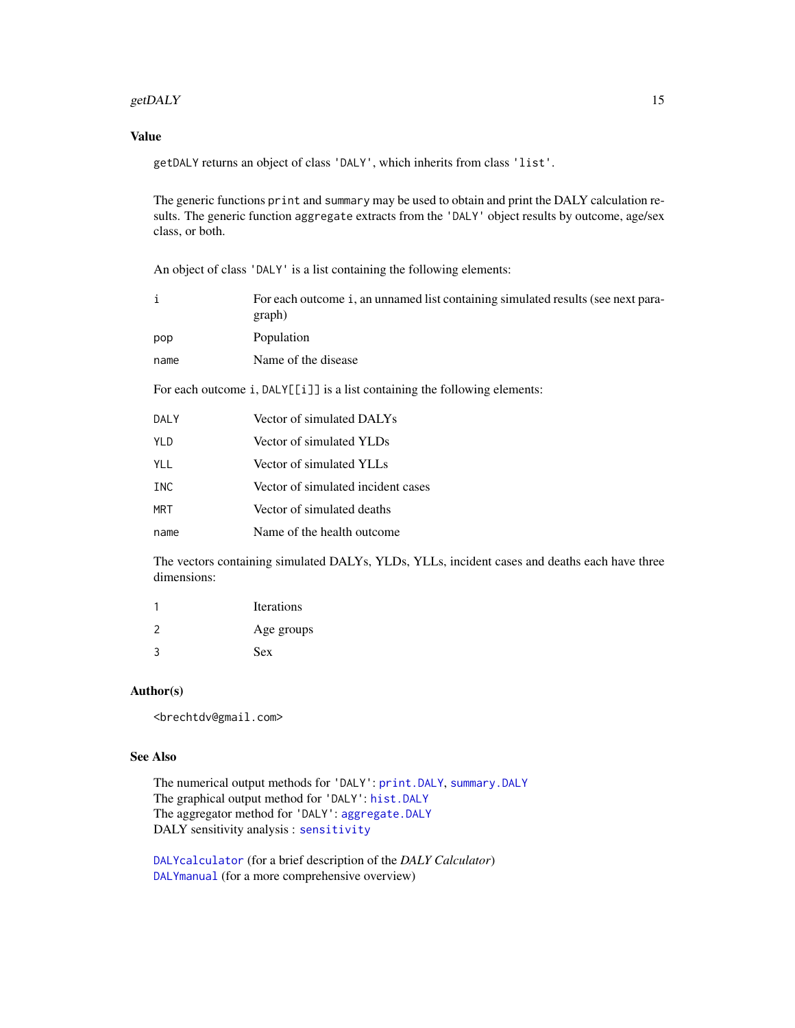#### <span id="page-14-0"></span>getDALY  $\qquad \qquad$  15

# Value

getDALY returns an object of class 'DALY', which inherits from class 'list'.

The generic functions print and summary may be used to obtain and print the DALY calculation results. The generic function aggregate extracts from the 'DALY' object results by outcome, age/sex class, or both.

An object of class 'DALY' is a list containing the following elements:

| $\mathbf{i}$ | For each outcome i, an unnamed list containing simulated results (see next para-<br>graph) |
|--------------|--------------------------------------------------------------------------------------------|
| pop          | Population                                                                                 |
| name         | Name of the disease                                                                        |
|              | For each outcome $i$ , DALY $[[i]]$ is a list containing the following elements:           |
| DALY         | Vector of simulated DALYs                                                                  |
| <b>YLD</b>   | Vector of simulated YLDs                                                                   |
| YLL.         | Vector of simulated YLLs                                                                   |
| INC          | Vector of simulated incident cases                                                         |
| <b>MRT</b>   | Vector of simulated deaths                                                                 |
| name         | Name of the health outcome                                                                 |
|              |                                                                                            |

The vectors containing simulated DALYs, YLDs, YLLs, incident cases and deaths each have three dimensions:

|               | <b>Iterations</b> |
|---------------|-------------------|
| $\mathcal{P}$ | Age groups        |
| 3             | <b>Sex</b>        |

#### Author(s)

<brechtdv@gmail.com>

#### See Also

The numerical output methods for 'DALY': [print.DALY](#page-18-1), [summary.DALY](#page-30-1) The graphical output method for 'DALY': [hist.DALY](#page-15-1) The aggregator method for 'DALY': [aggregate.DALY](#page-2-1) DALY sensitivity analysis : [sensitivity](#page-23-1)

[DALYcalculator](#page-4-1) (for a brief description of the *DALY Calculator*) [DALYmanual](#page-6-1) (for a more comprehensive overview)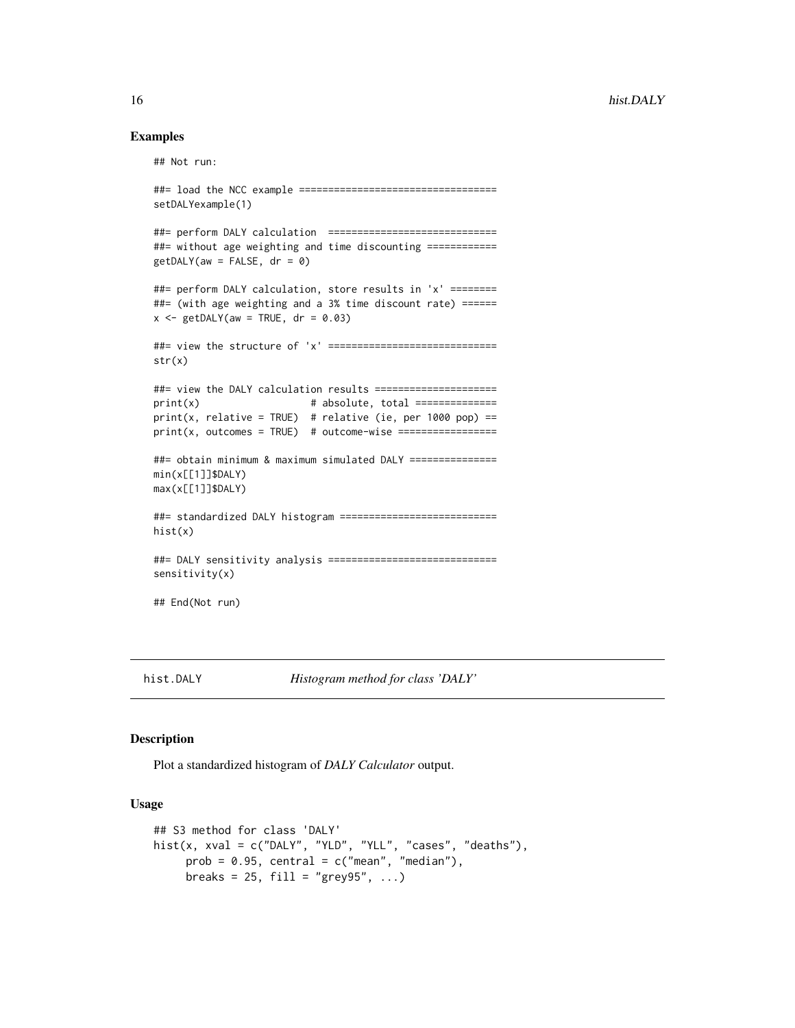#### Examples

```
## Not run:
##= load the NCC example ==================================
setDALYexample(1)
##= perform DALY calculation =============================
##= without age weighting and time discounting ============
getDALY(aw = FALSE, dr = 0)##= perform DALY calculation, store results in 'x' ========
##= (with age weighting and a 3% time discount rate) ======
x \leq - getDALY(aw = TRUE, dr = 0.03)
##= view the structure of 'x' =============================
str(x)
##= view the DALY calculation results =====================
print(x) # absolute, total ==============
print(x, relative = TRUE) # relative (ie, per 1000 pop) ==
print(x, outcomes = TRUE) # outcome-wise =================
##= obtain minimum & maximum simulated DALY ===============
min(x[[1]]$DALY)
max(x[[1]]$DALY)
##= standardized DALY histogram ===========================
hist(x)
##= DALY sensitivity analysis =============================
sensitivity(x)
## End(Not run)
```
<span id="page-15-1"></span>

hist.DALY *Histogram method for class 'DALY'*

#### Description

Plot a standardized histogram of *DALY Calculator* output.

#### Usage

```
## S3 method for class 'DALY'
hist(x, xval = c("DALY", "YLD", "YLL", "cases", "deaths"),prob = 0.95, central = c("mean", "median"),breaks = 25, fill = "grey95", \ldots)
```
<span id="page-15-0"></span>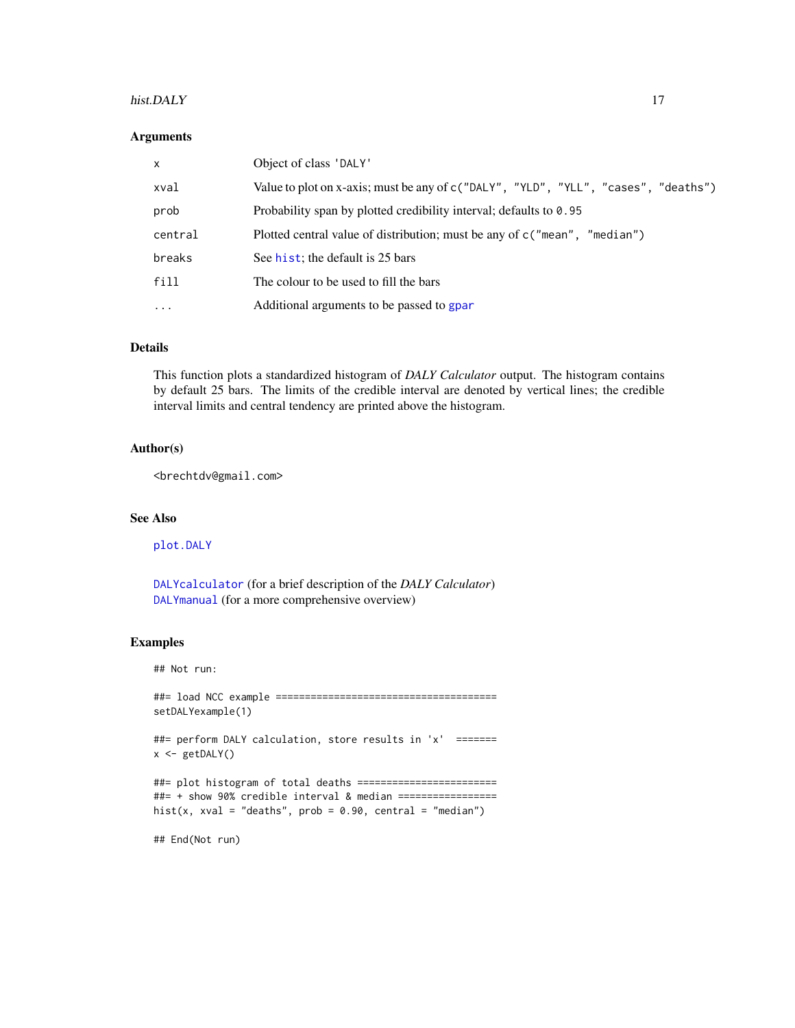#### <span id="page-16-0"></span>hist.DALY 17

#### Arguments

| $\times$ | Object of class 'DALY'                                                              |
|----------|-------------------------------------------------------------------------------------|
| xval     | Value to plot on x-axis; must be any of c ("DALY", "YLD", "YLL", "cases", "deaths") |
| prob     | Probability span by plotted credibility interval; defaults to 0.95                  |
| central  | Plotted central value of distribution; must be any of $c("mean", "median")$         |
| breaks   | See hist; the default is 25 bars                                                    |
| fill     | The colour to be used to fill the bars                                              |
| $\cdots$ | Additional arguments to be passed to gpar                                           |

# Details

This function plots a standardized histogram of *DALY Calculator* output. The histogram contains by default 25 bars. The limits of the credible interval are denoted by vertical lines; the credible interval limits and central tendency are printed above the histogram.

# Author(s)

<brechtdv@gmail.com>

# See Also

[plot.DALY](#page-17-1)

[DALYcalculator](#page-4-1) (for a brief description of the *DALY Calculator*) [DALYmanual](#page-6-1) (for a more comprehensive overview)

# Examples

## Not run:

##= load NCC example ====================================== setDALYexample(1)

##= perform DALY calculation, store results in 'x' =======  $x \leftarrow getDALY()$ 

##= plot histogram of total deaths ======================== ##= + show 90% credible interval & median ================= hist(x, xval = "deaths",  $prob = 0.90$ , central = "median")

## End(Not run)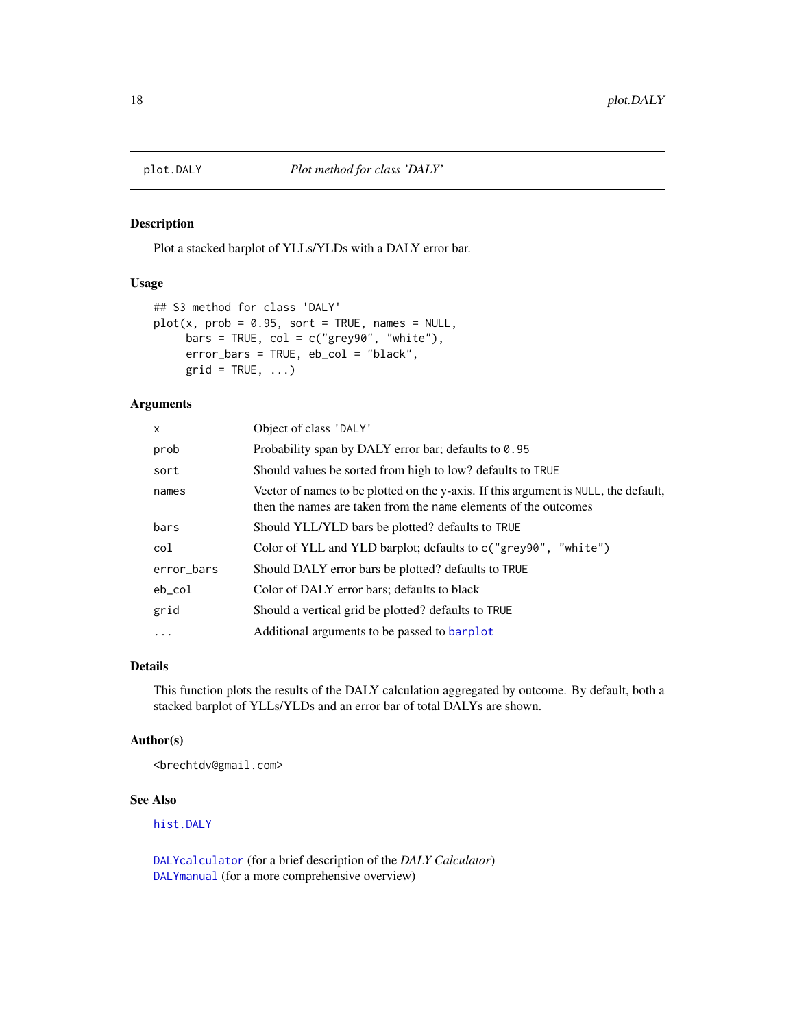<span id="page-17-1"></span><span id="page-17-0"></span>

# Description

Plot a stacked barplot of YLLs/YLDs with a DALY error bar.

## Usage

```
## S3 method for class 'DALY'
plot(x, prob = 0.95, sort = TRUE, names = NULL,bars = TRUE, col = c("grey90", "white"),error_bars = TRUE, eb_col = "black",
     grid = TRUE, ...)
```
#### Arguments

| $\times$   | Object of class 'DALY'                                                                                                                                 |
|------------|--------------------------------------------------------------------------------------------------------------------------------------------------------|
| prob       | Probability span by DALY error bar; defaults to 0.95                                                                                                   |
| sort       | Should values be sorted from high to low? defaults to TRUE                                                                                             |
| names      | Vector of names to be plotted on the y-axis. If this argument is NULL, the default,<br>then the names are taken from the name elements of the outcomes |
| bars       | Should YLL/YLD bars be plotted? defaults to TRUE                                                                                                       |
| col        | Color of YLL and YLD barplot; defaults to c("grey90", "white")                                                                                         |
| error_bars | Should DALY error bars be plotted? defaults to TRUE                                                                                                    |
| eb_col     | Color of DALY error bars; defaults to black                                                                                                            |
| grid       | Should a vertical grid be plotted? defaults to TRUE                                                                                                    |
| .          | Additional arguments to be passed to barplot                                                                                                           |

# Details

This function plots the results of the DALY calculation aggregated by outcome. By default, both a stacked barplot of YLLs/YLDs and an error bar of total DALYs are shown.

## Author(s)

<brechtdv@gmail.com>

# See Also

[hist.DALY](#page-15-1)

[DALYcalculator](#page-4-1) (for a brief description of the *DALY Calculator*) [DALYmanual](#page-6-1) (for a more comprehensive overview)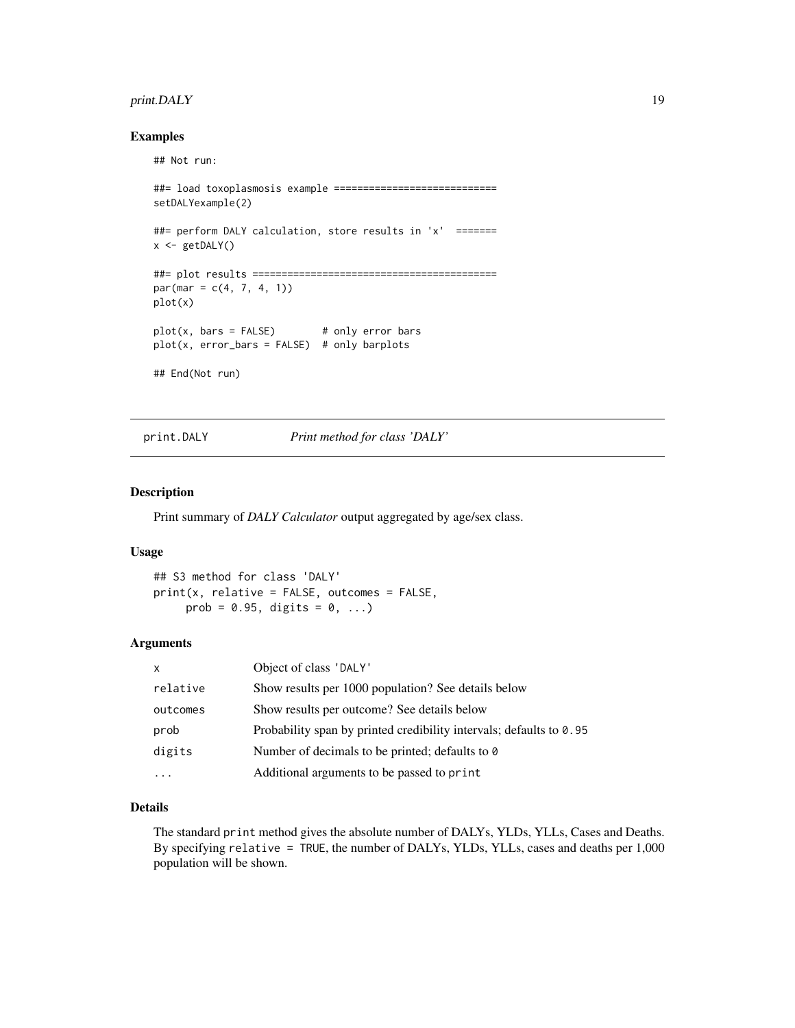# <span id="page-18-0"></span>print.DALY 19

#### Examples

## Not run:

```
##= load toxoplasmosis example ============================
setDALYexample(2)
##= perform DALY calculation, store results in 'x' =======
x <- getDALY()
##= plot results ==========================================
par(max = c(4, 7, 4, 1))plot(x)
plot(x, bars = FALSE) # only error bars
plot(x, error_bars = FALSE) # only barplots
## End(Not run)
```
<span id="page-18-1"></span>print.DALY *Print method for class 'DALY'*

#### Description

Print summary of *DALY Calculator* output aggregated by age/sex class.

#### Usage

## S3 method for class 'DALY' print(x, relative = FALSE, outcomes = FALSE, prob =  $0.95$ , digits =  $0, \ldots$ )

#### Arguments

| $\times$ | Object of class 'DALY'                                              |
|----------|---------------------------------------------------------------------|
| relative | Show results per 1000 population? See details below                 |
| outcomes | Show results per outcome? See details below                         |
| prob     | Probability span by printed credibility intervals; defaults to 0.95 |
| digits   | Number of decimals to be printed; defaults to 0                     |
|          | Additional arguments to be passed to print                          |

# Details

The standard print method gives the absolute number of DALYs, YLDs, YLLs, Cases and Deaths. By specifying relative = TRUE, the number of DALYs, YLDs, YLLs, cases and deaths per 1,000 population will be shown.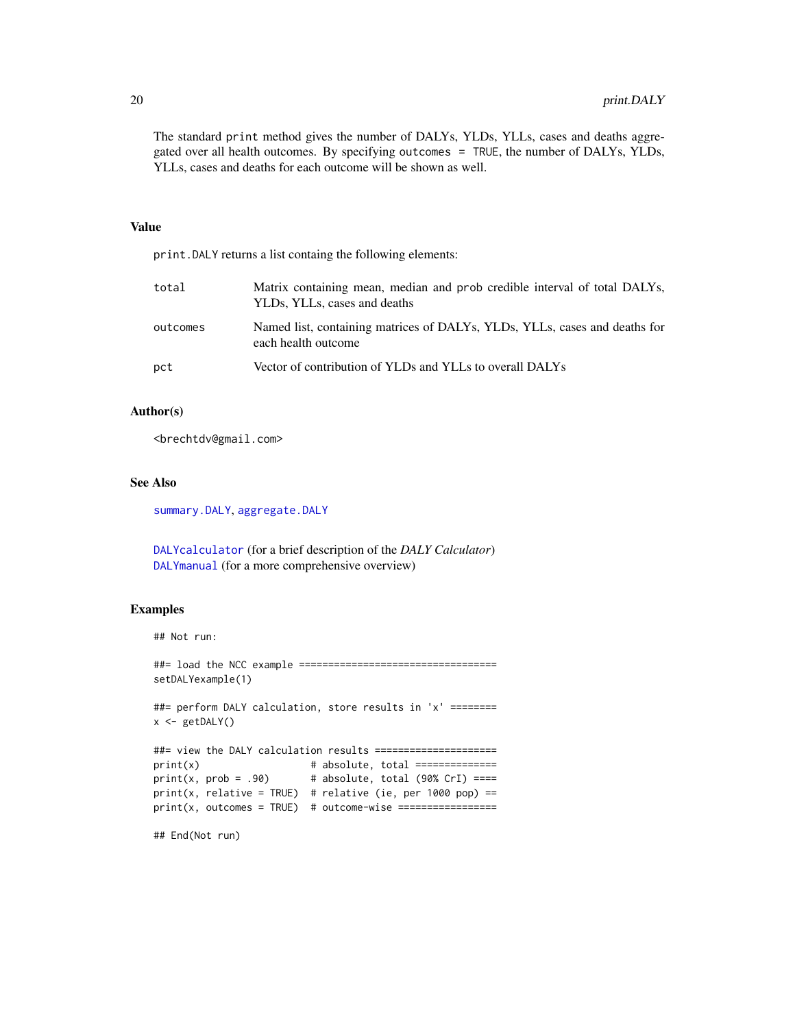<span id="page-19-0"></span>The standard print method gives the number of DALYs, YLDs, YLLs, cases and deaths aggregated over all health outcomes. By specifying outcomes = TRUE, the number of DALYs, YLDs, YLLs, cases and deaths for each outcome will be shown as well.

# Value

print.DALY returns a list containg the following elements: total Matrix containing mean, median and prob credible interval of total DALYs, YLDs, YLLs, cases and deaths outcomes Named list, containing matrices of DALYs, YLDs, YLLs, cases and deaths for each health outcome pct Vector of contribution of YLDs and YLLs to overall DALYs

#### Author(s)

<brechtdv@gmail.com>

#### See Also

[summary.DALY](#page-30-1), [aggregate.DALY](#page-2-1)

[DALYcalculator](#page-4-1) (for a brief description of the *DALY Calculator*) [DALYmanual](#page-6-1) (for a more comprehensive overview)

#### Examples

## Not run:

##= load the NCC example =================================== setDALYexample(1)

##= perform DALY calculation, store results in 'x' ========  $x \leftarrow getDALY()$ 

```
##= view the DALY calculation results =====================
print(x) # absolute, total ==============
print(x, prob = .90) # absolute, total (90% CrI) ====
print(x, relative = TRUE) # relative (ie, per 1000 pop) ==
print(x, outcomes = TRUE) # outcome-wise =================
```

```
## End(Not run)
```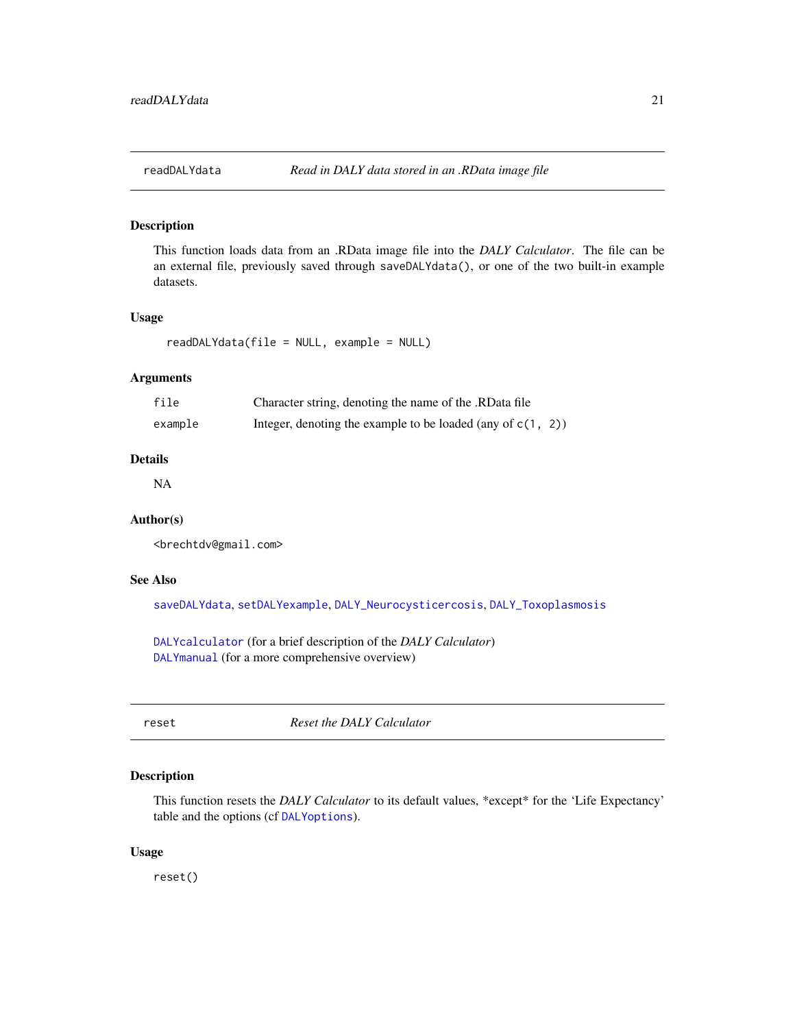<span id="page-20-1"></span><span id="page-20-0"></span>

#### Description

This function loads data from an .RData image file into the *DALY Calculator*. The file can be an external file, previously saved through saveDALYdata(), or one of the two built-in example datasets.

# Usage

```
readDALYdata(file = NULL, example = NULL)
```
# Arguments

| file    | Character string, denoting the name of the .RData file         |  |
|---------|----------------------------------------------------------------|--|
| example | Integer, denoting the example to be loaded (any of $c(1, 2)$ ) |  |

# Details

NA

#### Author(s)

<brechtdv@gmail.com>

### See Also

[saveDALYdata](#page-21-1), [setDALYexample](#page-26-1), [DALY\\_Neurocysticercosis](#page-9-1), [DALY\\_Toxoplasmosis](#page-11-1)

[DALYcalculator](#page-4-1) (for a brief description of the *DALY Calculator*) [DALYmanual](#page-6-1) (for a more comprehensive overview)

<span id="page-20-2"></span>reset *Reset the DALY Calculator*

# Description

This function resets the *DALY Calculator* to its default values, \*except\* for the 'Life Expectancy' table and the options (cf [DALYoptions](#page-7-1)).

# Usage

reset()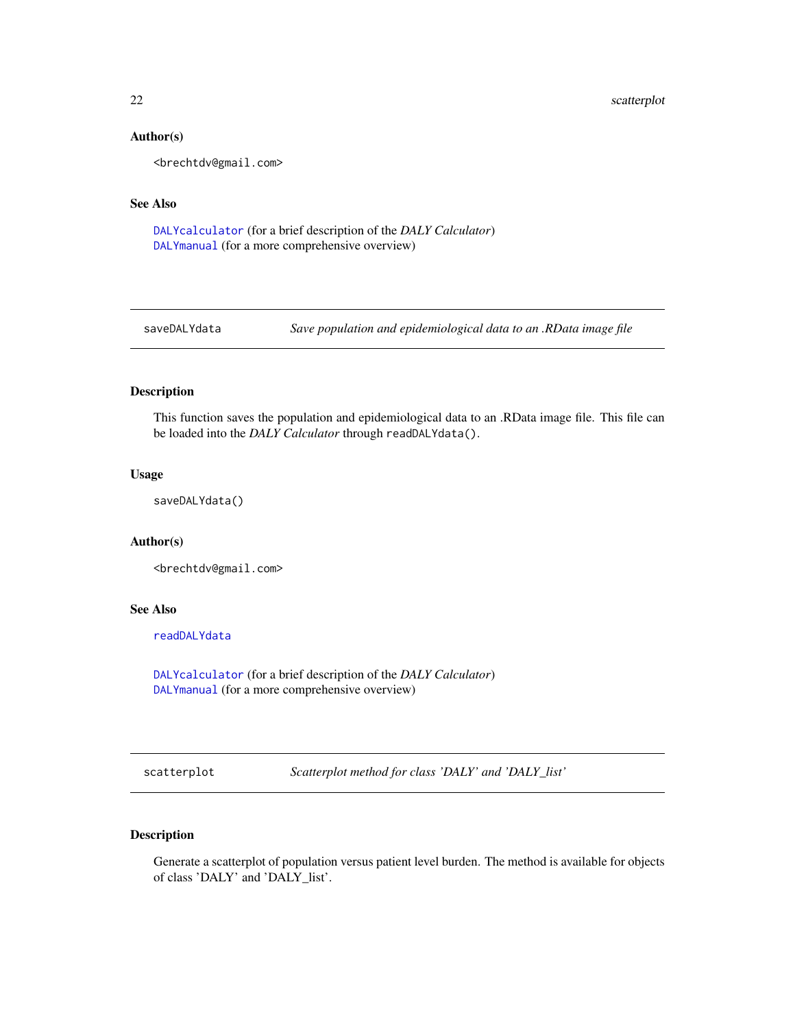#### Author(s)

<brechtdv@gmail.com>

# See Also

[DALYcalculator](#page-4-1) (for a brief description of the *DALY Calculator*) [DALYmanual](#page-6-1) (for a more comprehensive overview)

<span id="page-21-1"></span>

saveDALYdata *Save population and epidemiological data to an .RData image file*

# Description

This function saves the population and epidemiological data to an .RData image file. This file can be loaded into the *DALY Calculator* through readDALYdata().

# Usage

saveDALYdata()

# Author(s)

<brechtdv@gmail.com>

#### See Also

[readDALYdata](#page-20-1)

[DALYcalculator](#page-4-1) (for a brief description of the *DALY Calculator*) [DALYmanual](#page-6-1) (for a more comprehensive overview)

<span id="page-21-2"></span>scatterplot *Scatterplot method for class 'DALY' and 'DALY\_list'*

# Description

Generate a scatterplot of population versus patient level burden. The method is available for objects of class 'DALY' and 'DALY\_list'.

<span id="page-21-0"></span>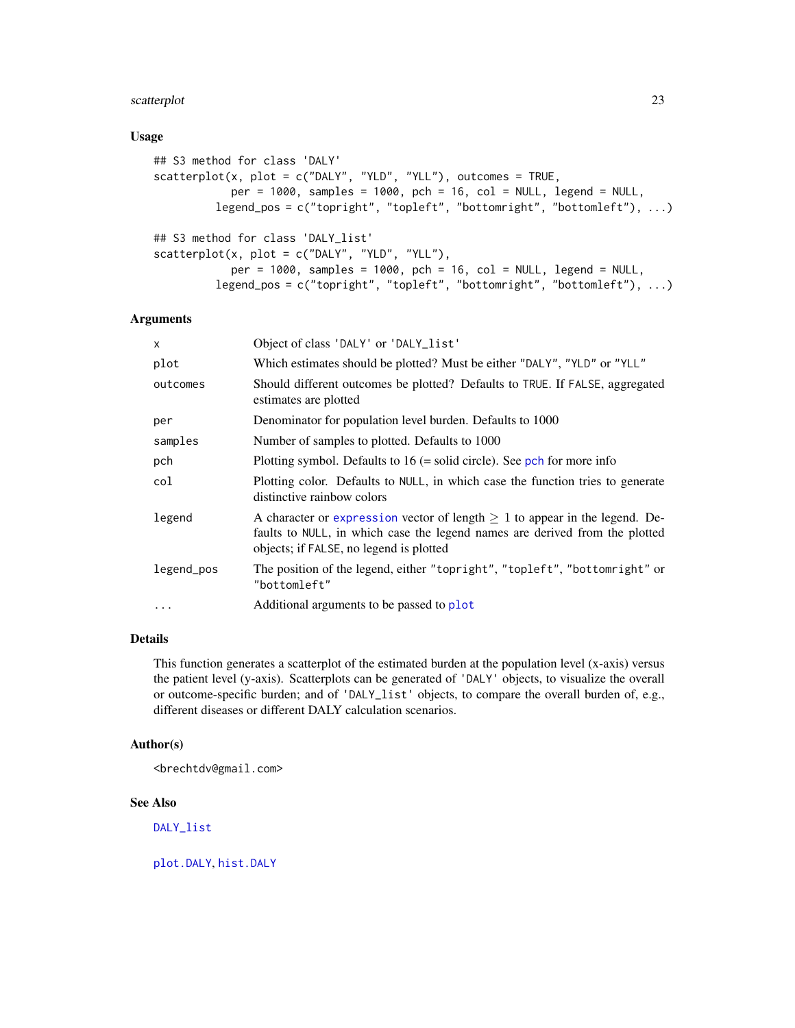# <span id="page-22-0"></span>scatterplot 23

#### Usage

```
## S3 method for class 'DALY'
scatteringAterplot(x, plot = c("DALY", "YLD", "YLL"), outcomes = TRUE,per = 1000, samples = 1000, pch = 16, col = NULL, legend = NULL,
         legend_pos = c("topright", "topleft", "bottomright", "bottomleft"), ...)
## S3 method for class 'DALY_list'
scatterplot(x, plot = c("DALY", "YLD", "YLL"),
            per = 1000, samples = 1000, pch = 16, col = NULL, legend = NULL,
         legend_pos = c("topright", "topleft", "bottomright", "bottomleft"), ...)
```
#### Arguments

| $\mathsf{x}$ | Object of class 'DALY' or 'DALY_list'                                                                                                                                                                      |
|--------------|------------------------------------------------------------------------------------------------------------------------------------------------------------------------------------------------------------|
| plot         | Which estimates should be plotted? Must be either "DALY", "YLD" or "YLL"                                                                                                                                   |
| outcomes     | Should different outcomes be plotted? Defaults to TRUE. If FALSE, aggregated<br>estimates are plotted                                                                                                      |
| per          | Denominator for population level burden. Defaults to 1000                                                                                                                                                  |
| samples      | Number of samples to plotted. Defaults to 1000                                                                                                                                                             |
| pch          | Plotting symbol. Defaults to $16$ (= solid circle). See pch for more info                                                                                                                                  |
| col          | Plotting color. Defaults to NULL, in which case the function tries to generate<br>distinctive rainbow colors                                                                                               |
| legend       | A character or expression vector of length $\geq 1$ to appear in the legend. De-<br>faults to NULL, in which case the legend names are derived from the plotted<br>objects; if FALSE, no legend is plotted |
| legend_pos   | The position of the legend, either "topright", "topleft", "bottomright" or<br>"bottomleft"                                                                                                                 |
| $\ddots$     | Additional arguments to be passed to plot                                                                                                                                                                  |

# Details

This function generates a scatterplot of the estimated burden at the population level (x-axis) versus the patient level (y-axis). Scatterplots can be generated of 'DALY' objects, to visualize the overall or outcome-specific burden; and of 'DALY\_list' objects, to compare the overall burden of, e.g., different diseases or different DALY calculation scenarios.

#### Author(s)

<brechtdv@gmail.com>

# See Also

[DALY\\_list](#page-8-1)

[plot.DALY](#page-17-1), [hist.DALY](#page-15-1)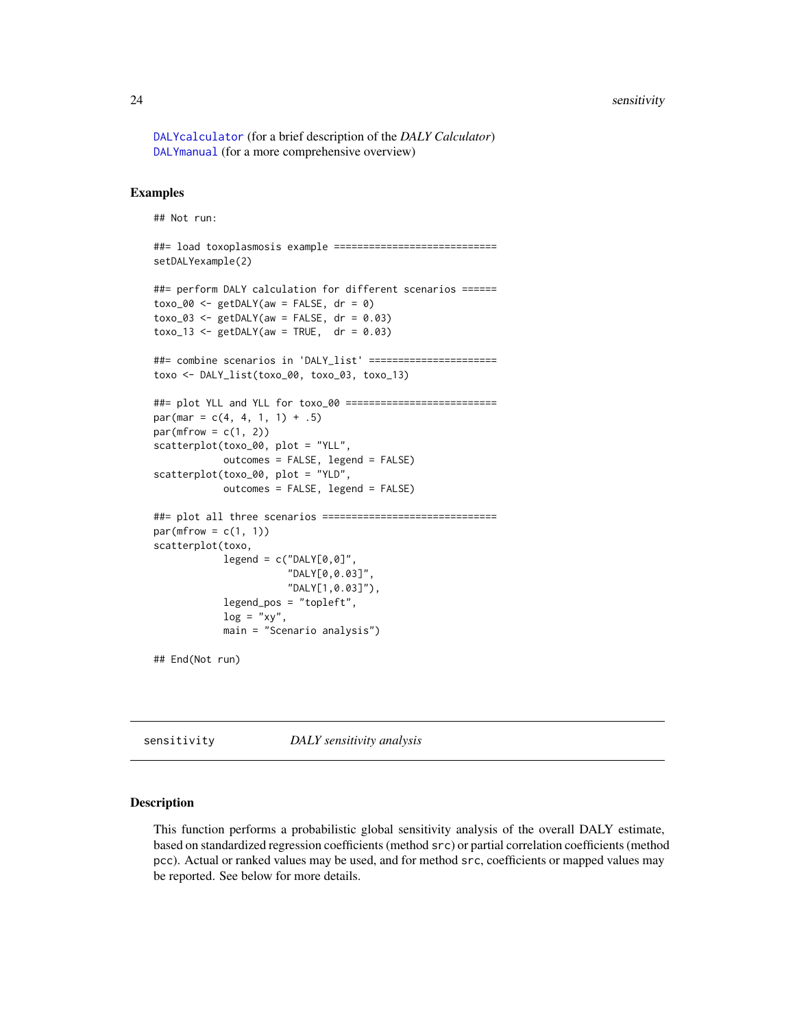#### <span id="page-23-0"></span>24 sensitivity and the contract of the contract of the contract of the contract of the contract of the contract of the contract of the contract of the contract of the contract of the contract of the contract of the contrac

[DALYcalculator](#page-4-1) (for a brief description of the *DALY Calculator*) [DALYmanual](#page-6-1) (for a more comprehensive overview)

# Examples

```
## Not run:
##= load toxoplasmosis example ============================
setDALYexample(2)
##= perform DALY calculation for different scenarios ======
toxo_00 \leq getDALY(aw = FALSE, dr = 0)toxo_03 \leq-getDALY(aw = FALSE, dr = 0.03)toxo_13 \leq - getDALY(aw = TRUE, dr = 0.03)
##= combine scenarios in 'DALY_list' ======================
toxo <- DALY_list(toxo_00, toxo_03, toxo_13)
##= plot YLL and YLL for toxo_00 ==========================
par(max = c(4, 4, 1, 1) + .5)par(mfrow = c(1, 2))scatterplot(toxo_00, plot = "YLL",
            outcomes = FALSE, legend = FALSE)
scatterplot(toxo_00, plot = "YLD",
           outcomes = FALSE, legend = FALSE)
##= plot all three scenarios ==============================
par(mfrow = c(1, 1))scatterplot(toxo,
            legend = c("DALY[0, 0]","DALY[0,0.03]",
                       "DALY[1,0.03]"),
            legend_pos = "topleft",
            log = "xy",main = "Scenario analysis")
## End(Not run)
```
<span id="page-23-1"></span>sensitivity *DALY sensitivity analysis*

# Description

This function performs a probabilistic global sensitivity analysis of the overall DALY estimate, based on standardized regression coefficients (method src) or partial correlation coefficients (method pcc). Actual or ranked values may be used, and for method src, coefficients or mapped values may be reported. See below for more details.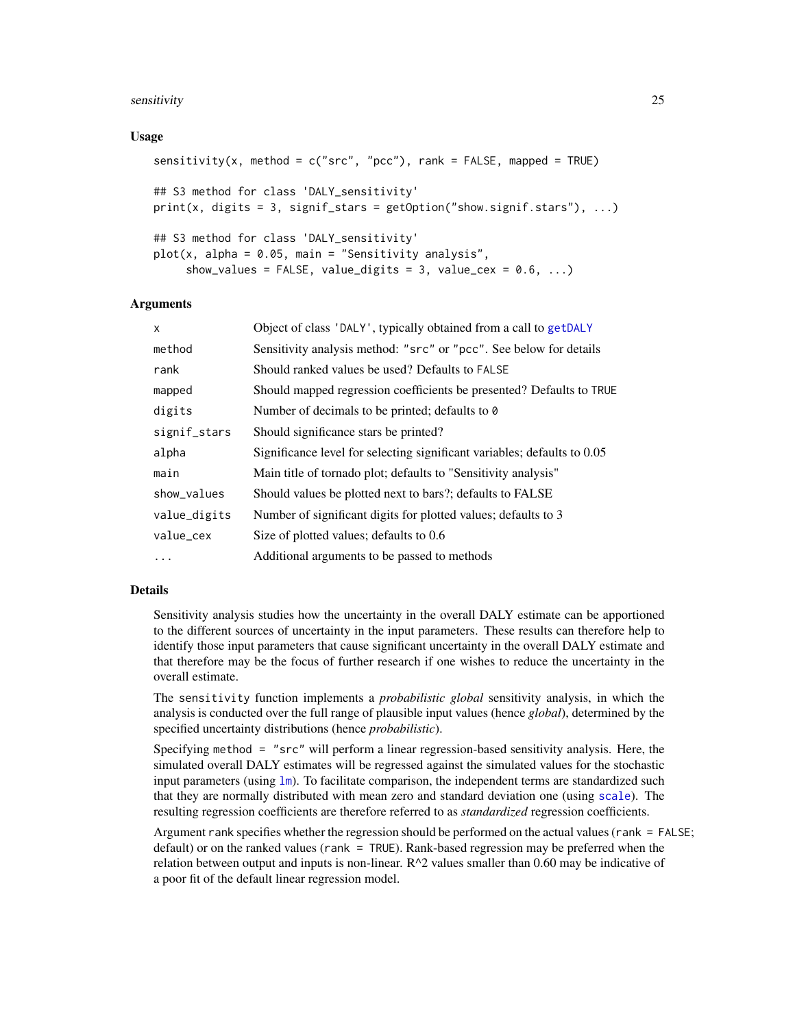#### <span id="page-24-0"></span>sensitivity 25

#### Usage

```
sensitivity(x, method = c("src", "pcc"), rank = FALSE, mapped = TRUE)## S3 method for class 'DALY_sensitivity'
print(x, digits = 3, signif_stars = getOption("show.signif.stars"), ...)
## S3 method for class 'DALY_sensitivity'
plot(x, alpha = 0.05, main = "Sensitivity analysis",
    show_values = FALSE, value_digits = 3, value_cex = 0.6, ...)
```
#### Arguments

| $\mathsf{x}$ | Object of class 'DALY', typically obtained from a call to getDALY        |
|--------------|--------------------------------------------------------------------------|
| method       | Sensitivity analysis method: "src" or "pcc". See below for details       |
| rank         | Should ranked values be used? Defaults to FALSE                          |
| mapped       | Should mapped regression coefficients be presented? Defaults to TRUE     |
| digits       | Number of decimals to be printed; defaults to 0                          |
| signif_stars | Should significance stars be printed?                                    |
| alpha        | Significance level for selecting significant variables; defaults to 0.05 |
| main         | Main title of tornado plot; defaults to "Sensitivity analysis"           |
| show_values  | Should values be plotted next to bars?; defaults to FALSE                |
| value_digits | Number of significant digits for plotted values; defaults to 3           |
| value_cex    | Size of plotted values; defaults to 0.6                                  |
| $\cdots$     | Additional arguments to be passed to methods                             |

#### Details

Sensitivity analysis studies how the uncertainty in the overall DALY estimate can be apportioned to the different sources of uncertainty in the input parameters. These results can therefore help to identify those input parameters that cause significant uncertainty in the overall DALY estimate and that therefore may be the focus of further research if one wishes to reduce the uncertainty in the overall estimate.

The sensitivity function implements a *probabilistic global* sensitivity analysis, in which the analysis is conducted over the full range of plausible input values (hence *global*), determined by the specified uncertainty distributions (hence *probabilistic*).

Specifying method = "src" will perform a linear regression-based sensitivity analysis. Here, the simulated overall DALY estimates will be regressed against the simulated values for the stochastic input parameters (using  $\text{Im}$ ). To facilitate comparison, the independent terms are standardized such that they are normally distributed with mean zero and standard deviation one (using [scale](#page-0-0)). The resulting regression coefficients are therefore referred to as *standardized* regression coefficients.

Argument rank specifies whether the regression should be performed on the actual values (rank = FALSE; default) or on the ranked values (rank = TRUE). Rank-based regression may be preferred when the relation between output and inputs is non-linear.  $R^2$  values smaller than 0.60 may be indicative of a poor fit of the default linear regression model.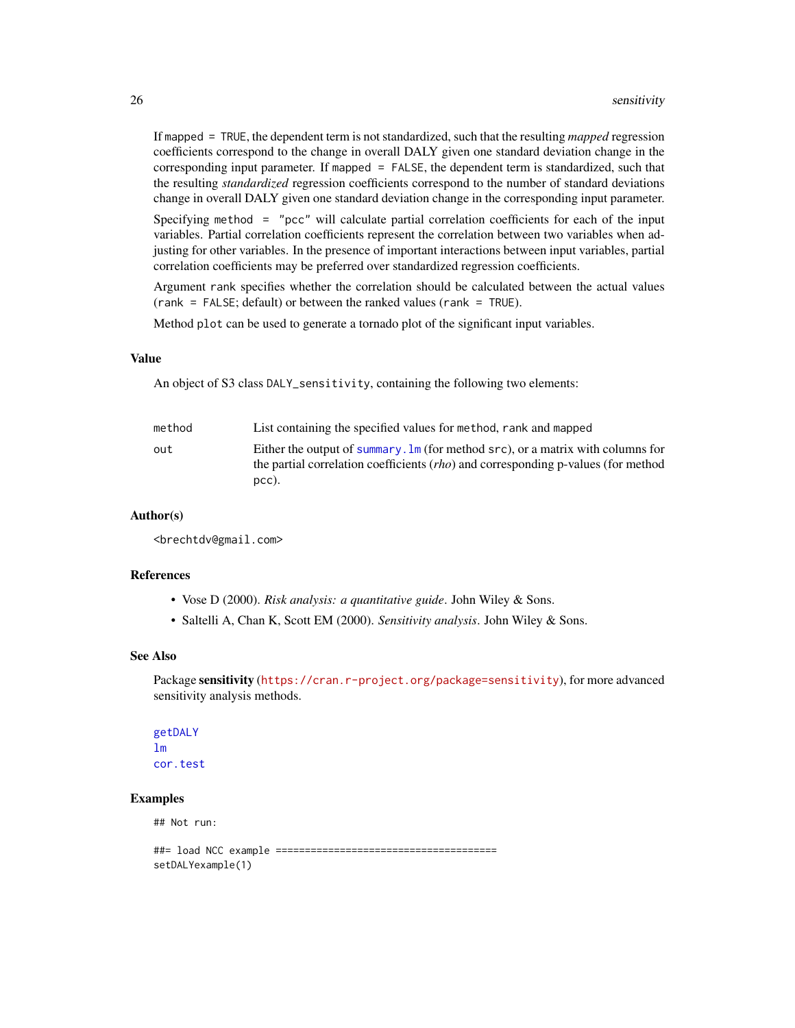<span id="page-25-0"></span>If mapped = TRUE, the dependent term is not standardized, such that the resulting *mapped* regression coefficients correspond to the change in overall DALY given one standard deviation change in the corresponding input parameter. If mapped = FALSE, the dependent term is standardized, such that the resulting *standardized* regression coefficients correspond to the number of standard deviations change in overall DALY given one standard deviation change in the corresponding input parameter.

Specifying method = "pcc" will calculate partial correlation coefficients for each of the input variables. Partial correlation coefficients represent the correlation between two variables when adjusting for other variables. In the presence of important interactions between input variables, partial correlation coefficients may be preferred over standardized regression coefficients.

Argument rank specifies whether the correlation should be calculated between the actual values (rank = FALSE; default) or between the ranked values (rank = TRUE).

Method plot can be used to generate a tornado plot of the significant input variables.

#### Value

An object of S3 class DALY\_sensitivity, containing the following two elements:

| method | List containing the specified values for method, rank and mapped                                                                                                                         |
|--------|------------------------------------------------------------------------------------------------------------------------------------------------------------------------------------------|
| out    | Either the output of summary. $\text{Im}$ (for method src), or a matrix with columns for<br>the partial correlation coefficients $(rho)$ and corresponding p-values (for method<br>pcc). |

#### Author(s)

<brechtdv@gmail.com>

#### References

- Vose D (2000). *Risk analysis: a quantitative guide*. John Wiley & Sons.
- Saltelli A, Chan K, Scott EM (2000). *Sensitivity analysis*. John Wiley & Sons.

#### See Also

Package sensitivity (<https://cran.r-project.org/package=sensitivity>), for more advanced sensitivity analysis methods.

[getDALY](#page-13-1) [lm](#page-0-0) [cor.test](#page-0-0)

# Examples

## Not run:

##= load NCC example ====================================== setDALYexample(1)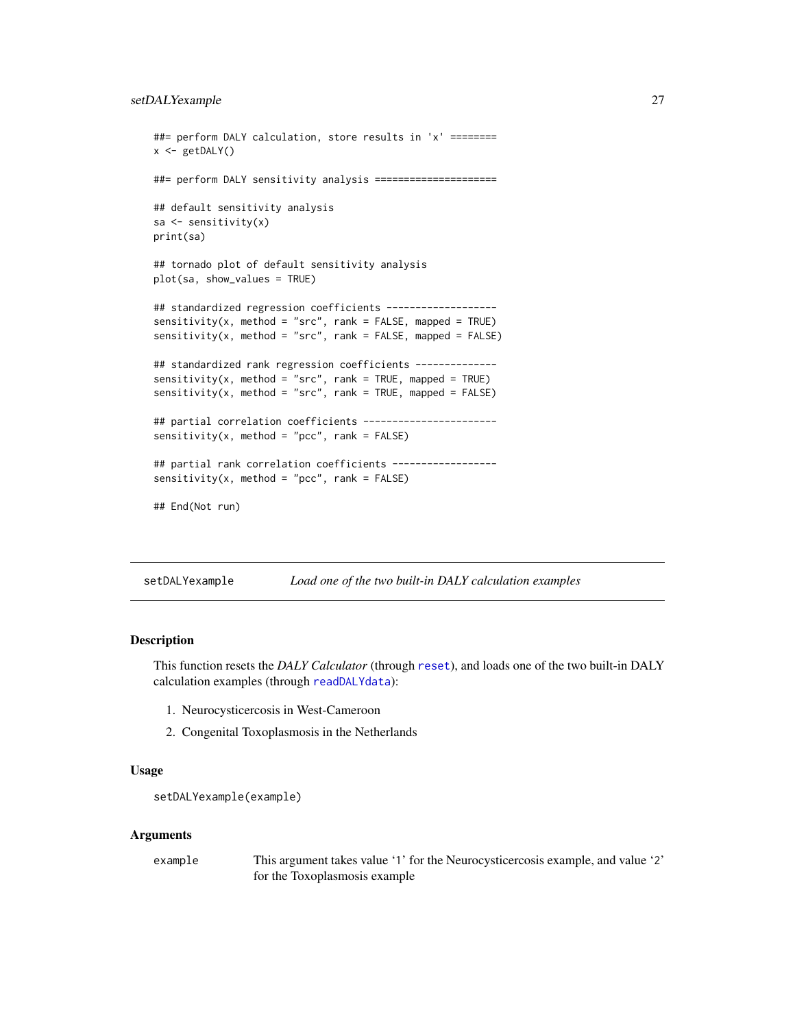```
##= perform DALY calculation, store results in 'x' ========
x \leftarrow getDALY()##= perform DALY sensitivity analysis =====================
## default sensitivity analysis
sa <- sensitivity(x)
print(sa)
## tornado plot of default sensitivity analysis
plot(sa, show_values = TRUE)
## standardized regression coefficients -------------------
sensitivity(x, method = "src", rank = FALSE, mapped = TRUE)sensitivity(x, method = "src", rank = FALSE, mapped = FALSE)## standardized rank regression coefficients --------------
sensitivity(x, method = "src", rank = TRUE, mapped = TRUE)
sensitivity(x, method = "src", rank = TRUE, mapped = FALSE)## partial correlation coefficients -----------------------
sensitivity(x, method = "pcc", rank = FALSE)## partial rank correlation coefficients ------------------
sensitivity(x, method = "pcc", rank = FALSE)
## End(Not run)
```
<span id="page-26-1"></span>setDALYexample *Load one of the two built-in DALY calculation examples*

#### Description

This function resets the *DALY Calculator* (through [reset](#page-20-2)), and loads one of the two built-in DALY calculation examples (through [readDALYdata](#page-20-1)):

- 1. Neurocysticercosis in West-Cameroon
- 2. Congenital Toxoplasmosis in the Netherlands

#### Usage

```
setDALYexample(example)
```
#### Arguments

| example | This argument takes value '1' for the Neurocystic ercosis example, and value '2' |
|---------|----------------------------------------------------------------------------------|
|         | for the Toxoplasmosis example                                                    |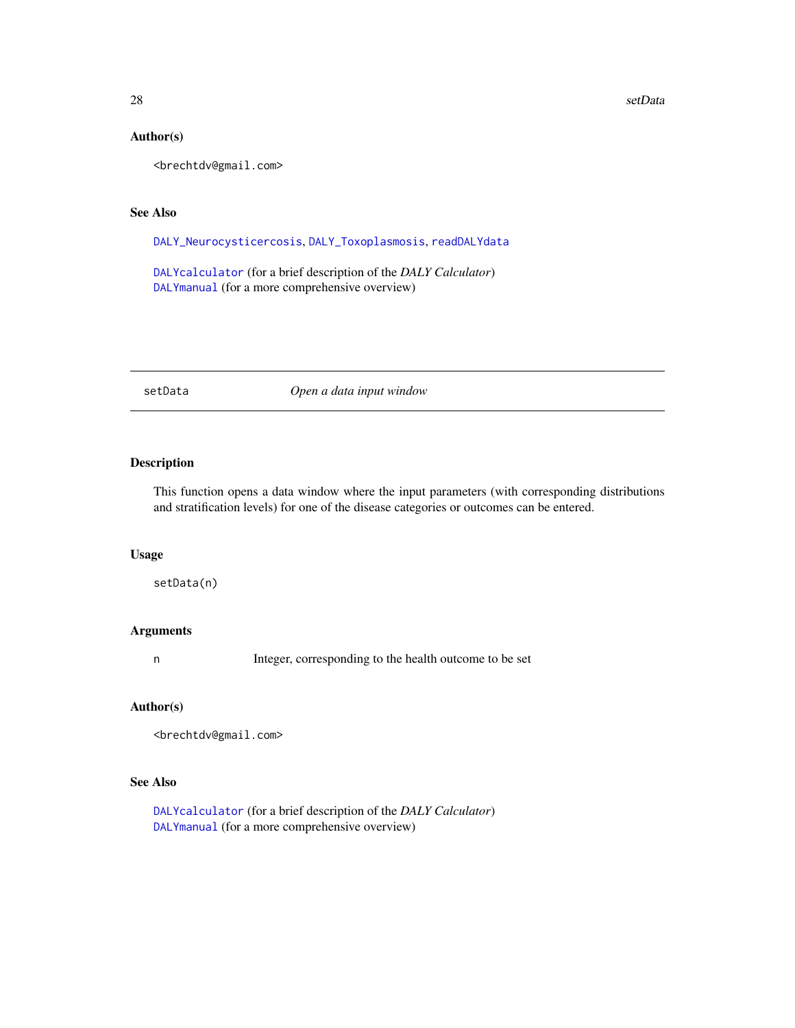#### 28 setData and the setData and the setData and the setData and the setData and the setData and the setData and the setData

# Author(s)

<brechtdv@gmail.com>

# See Also

[DALY\\_Neurocysticercosis](#page-9-1), [DALY\\_Toxoplasmosis](#page-11-1), [readDALYdata](#page-20-1)

[DALYcalculator](#page-4-1) (for a brief description of the *DALY Calculator*) [DALYmanual](#page-6-1) (for a more comprehensive overview)

<span id="page-27-1"></span>setData *Open a data input window*

# Description

This function opens a data window where the input parameters (with corresponding distributions and stratification levels) for one of the disease categories or outcomes can be entered.

#### Usage

setData(n)

# Arguments

n Integer, corresponding to the health outcome to be set

# Author(s)

<brechtdv@gmail.com>

# See Also

[DALYcalculator](#page-4-1) (for a brief description of the *DALY Calculator*) [DALYmanual](#page-6-1) (for a more comprehensive overview)

<span id="page-27-0"></span>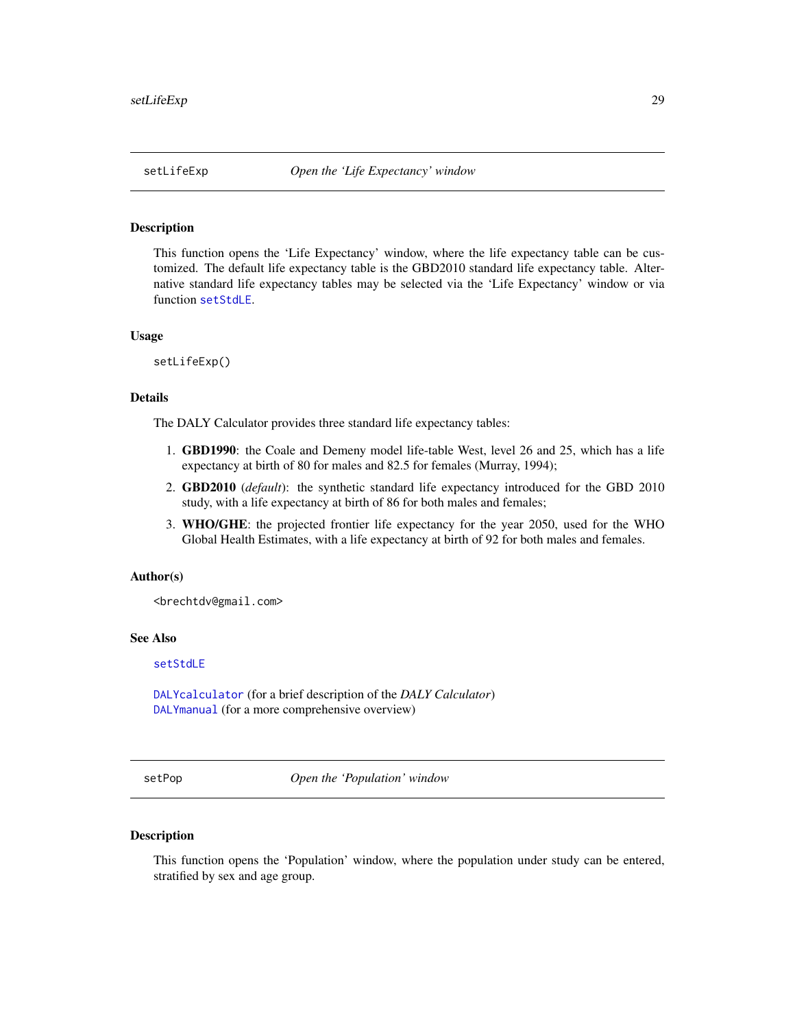<span id="page-28-1"></span><span id="page-28-0"></span>

# Description

This function opens the 'Life Expectancy' window, where the life expectancy table can be customized. The default life expectancy table is the GBD2010 standard life expectancy table. Alternative standard life expectancy tables may be selected via the 'Life Expectancy' window or via function [setStdLE](#page-29-1).

#### Usage

setLifeExp()

#### Details

The DALY Calculator provides three standard life expectancy tables:

- 1. GBD1990: the Coale and Demeny model life-table West, level 26 and 25, which has a life expectancy at birth of 80 for males and 82.5 for females (Murray, 1994);
- 2. GBD2010 (*default*): the synthetic standard life expectancy introduced for the GBD 2010 study, with a life expectancy at birth of 86 for both males and females;
- 3. WHO/GHE: the projected frontier life expectancy for the year 2050, used for the WHO Global Health Estimates, with a life expectancy at birth of 92 for both males and females.

#### Author(s)

<brechtdv@gmail.com>

# See Also

# [setStdLE](#page-29-1)

[DALYcalculator](#page-4-1) (for a brief description of the *DALY Calculator*) [DALYmanual](#page-6-1) (for a more comprehensive overview)

<span id="page-28-2"></span>setPop *Open the 'Population' window*

# Description

This function opens the 'Population' window, where the population under study can be entered, stratified by sex and age group.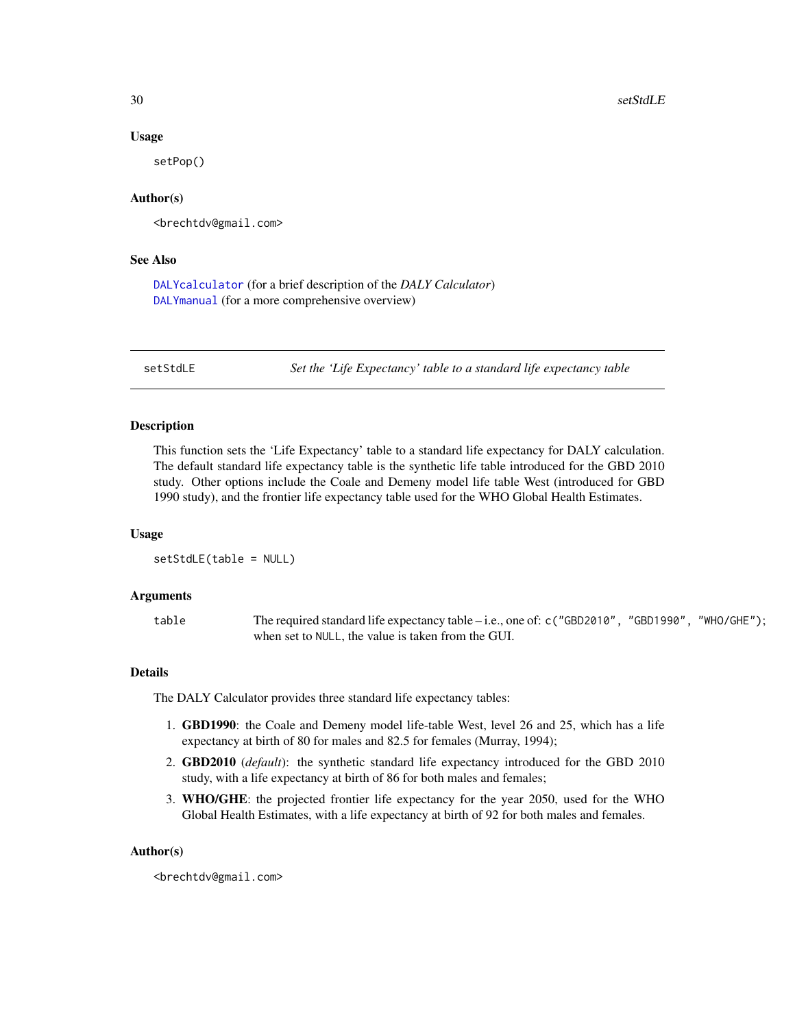#### Usage

setPop()

# Author(s)

<brechtdv@gmail.com>

#### See Also

[DALYcalculator](#page-4-1) (for a brief description of the *DALY Calculator*) [DALYmanual](#page-6-1) (for a more comprehensive overview)

<span id="page-29-1"></span>setStdLE *Set the 'Life Expectancy' table to a standard life expectancy table*

#### Description

This function sets the 'Life Expectancy' table to a standard life expectancy for DALY calculation. The default standard life expectancy table is the synthetic life table introduced for the GBD 2010 study. Other options include the Coale and Demeny model life table West (introduced for GBD 1990 study), and the frontier life expectancy table used for the WHO Global Health Estimates.

#### Usage

setStdLE(table = NULL)

#### Arguments

table The required standard life expectancy table – i.e., one of: c("GBD2010", "GBD1990", "WHO/GHE"); when set to NULL, the value is taken from the GUI.

# Details

The DALY Calculator provides three standard life expectancy tables:

- 1. GBD1990: the Coale and Demeny model life-table West, level 26 and 25, which has a life expectancy at birth of 80 for males and 82.5 for females (Murray, 1994);
- 2. GBD2010 (*default*): the synthetic standard life expectancy introduced for the GBD 2010 study, with a life expectancy at birth of 86 for both males and females;
- 3. WHO/GHE: the projected frontier life expectancy for the year 2050, used for the WHO Global Health Estimates, with a life expectancy at birth of 92 for both males and females.

#### Author(s)

<brechtdv@gmail.com>

<span id="page-29-0"></span>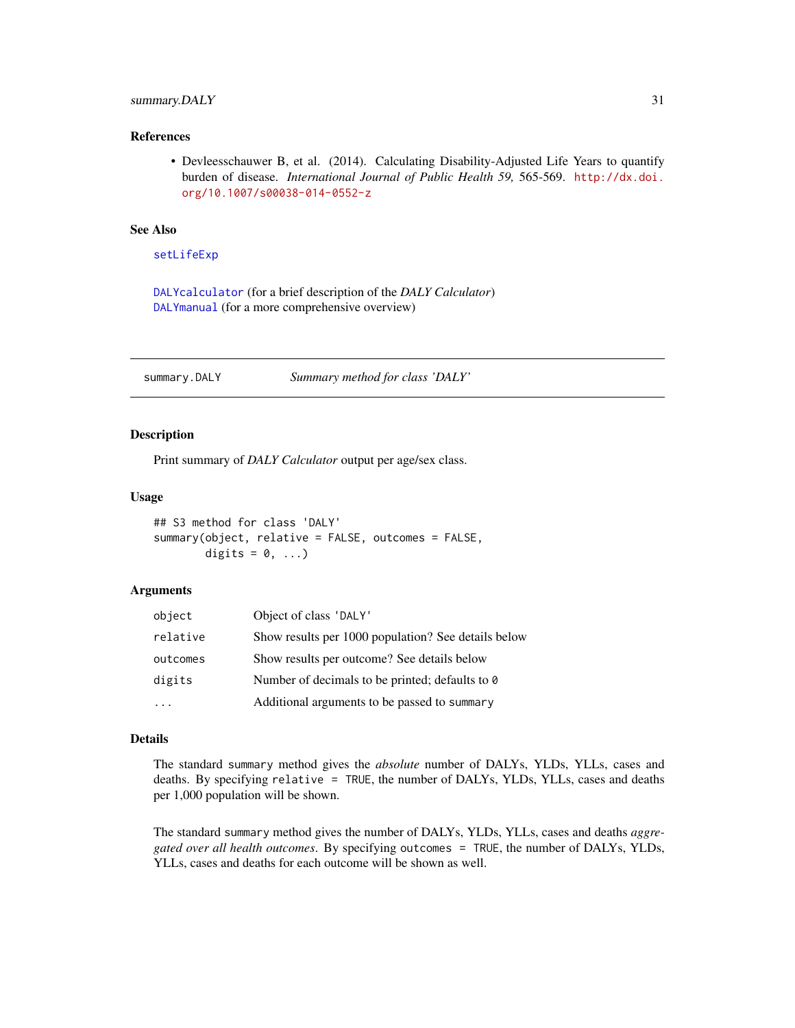# <span id="page-30-0"></span>summary.DALY 31

#### References

• Devleesschauwer B, et al. (2014). Calculating Disability-Adjusted Life Years to quantify burden of disease. *International Journal of Public Health 59,* 565-569. [http://dx.doi.](http://dx.doi.org/10.1007/s00038-014-0552-z) [org/10.1007/s00038-014-0552-z](http://dx.doi.org/10.1007/s00038-014-0552-z)

# See Also

[setLifeExp](#page-28-1)

[DALYcalculator](#page-4-1) (for a brief description of the *DALY Calculator*) [DALYmanual](#page-6-1) (for a more comprehensive overview)

<span id="page-30-1"></span>summary.DALY *Summary method for class 'DALY'*

#### Description

Print summary of *DALY Calculator* output per age/sex class.

#### Usage

```
## S3 method for class 'DALY'
summary(object, relative = FALSE, outcomes = FALSE,
        digits = 0, \ldots)
```
#### Arguments

| object   | Object of class 'DALY'                              |
|----------|-----------------------------------------------------|
| relative | Show results per 1000 population? See details below |
| outcomes | Show results per outcome? See details below         |
| digits   | Number of decimals to be printed; defaults to 0     |
|          | Additional arguments to be passed to summary        |

### Details

The standard summary method gives the *absolute* number of DALYs, YLDs, YLLs, cases and deaths. By specifying relative = TRUE, the number of DALYs, YLDs, YLLs, cases and deaths per 1,000 population will be shown.

The standard summary method gives the number of DALYs, YLDs, YLLs, cases and deaths *aggregated over all health outcomes*. By specifying outcomes = TRUE, the number of DALYs, YLDs, YLLs, cases and deaths for each outcome will be shown as well.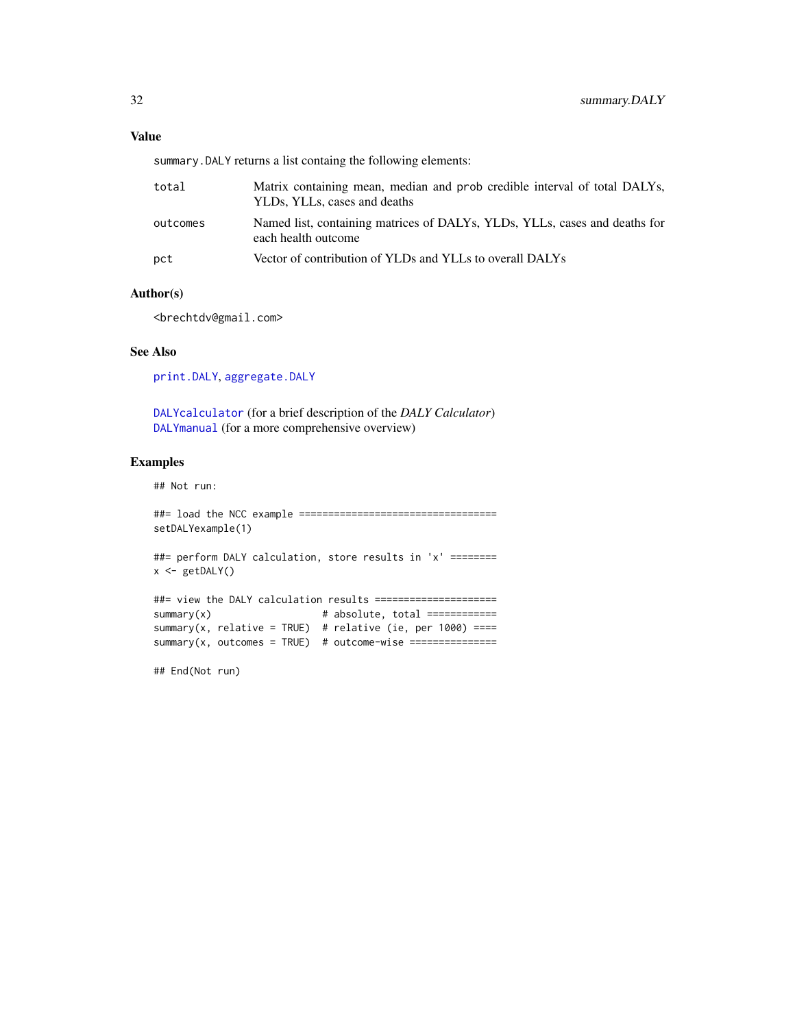### <span id="page-31-0"></span>Value

summary.DALY returns a list containg the following elements:

| total    | Matrix containing mean, median and prob credible interval of total DALYs,<br>YLDs, YLLs, cases and deaths |
|----------|-----------------------------------------------------------------------------------------------------------|
| outcomes | Named list, containing matrices of DALYs, YLDs, YLLs, cases and deaths for<br>each health outcome         |
| pct      | Vector of contribution of YLDs and YLLs to overall DALYs                                                  |

#### Author(s)

<brechtdv@gmail.com>

# See Also

[print.DALY](#page-18-1), [aggregate.DALY](#page-2-1)

[DALYcalculator](#page-4-1) (for a brief description of the *DALY Calculator*) [DALYmanual](#page-6-1) (for a more comprehensive overview)

#### Examples

## Not run:

##= load the NCC example =================================== setDALYexample(1)

##= perform DALY calculation, store results in 'x' ======== x <- getDALY()

```
##= view the DALY calculation results =====================
summary(x) # absolute, total =============
summary(x, relative = TRUE) # relative (ie, per 1000) ====
summary(x, outcomes = TRUE) # outcome-wise ===============
```
## End(Not run)